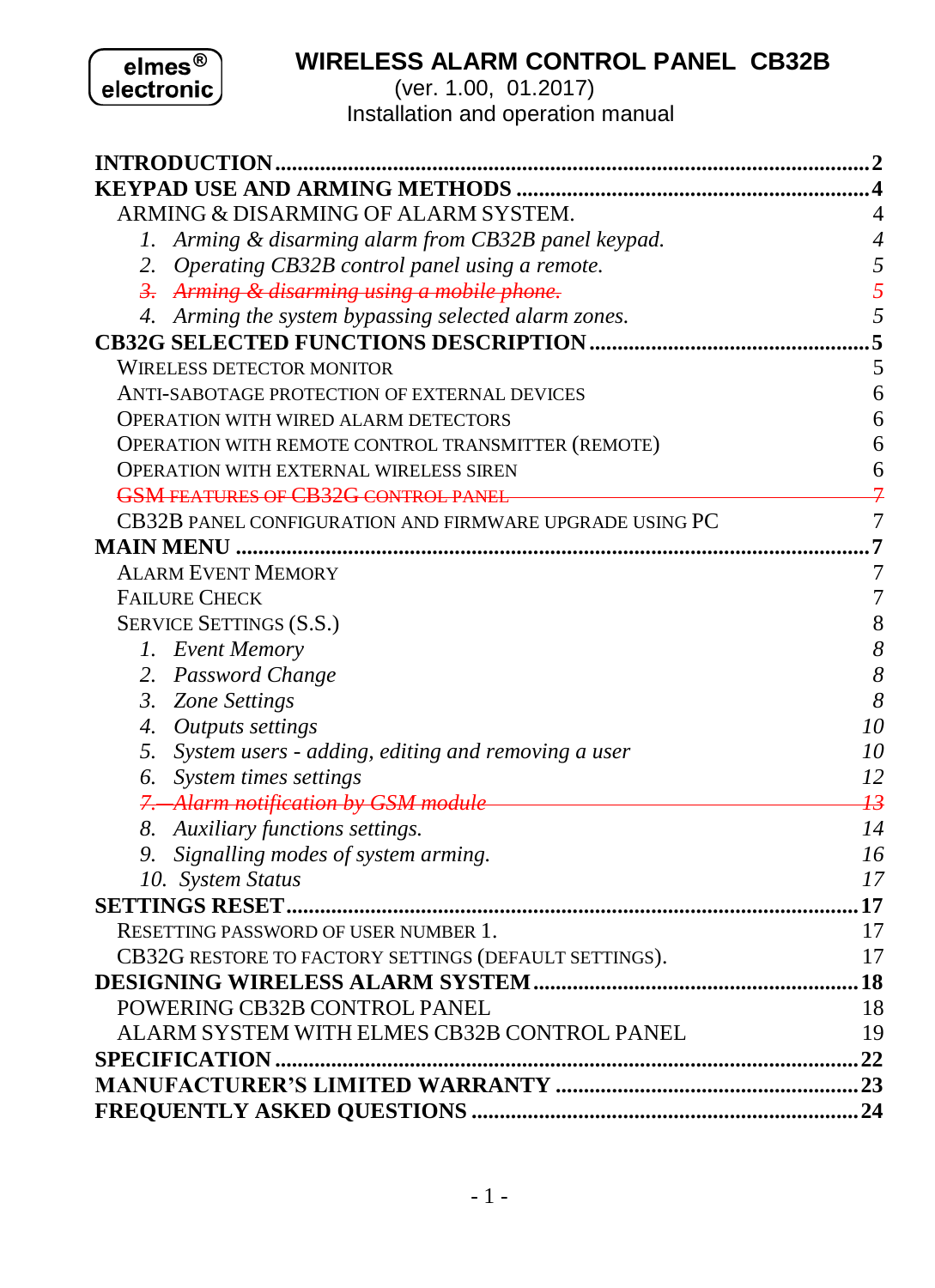elmes<sup>®</sup><br>electronic

# **WIRELESS ALARM CONTROL PANEL CB32B**

(ver. 1.00, 01.2017) Installation and operation manual

| ARMING & DISARMING OF ALARM SYSTEM.                     | 4               |
|---------------------------------------------------------|-----------------|
| 1. Arming & disarming alarm from CB32B panel keypad.    | $\overline{4}$  |
| 2. Operating CB32B control panel using a remote.        | 5               |
| 3. Arming & disarming using a mobile phone.             | 5               |
| 4. Arming the system bypassing selected alarm zones.    | 5               |
|                                                         | 5               |
| WIRELESS DETECTOR MONITOR                               | 5               |
| ANTI-SABOTAGE PROTECTION OF EXTERNAL DEVICES            | 6               |
| <b>OPERATION WITH WIRED ALARM DETECTORS</b>             | 6               |
| OPERATION WITH REMOTE CONTROL TRANSMITTER (REMOTE)      | 6               |
| OPERATION WITH EXTERNAL WIRELESS SIREN                  | 6               |
| <b>GSM FEATURES OF CB32G CONTROL PANEL</b>              | 7               |
| CB32B PANEL CONFIGURATION AND FIRMWARE UPGRADE USING PC | 7               |
|                                                         | .7              |
| <b>ALARM EVENT MEMORY</b>                               | 7               |
| <b>FAILURE CHECK</b>                                    | 7               |
| <b>SERVICE SETTINGS (S.S.)</b>                          | 8               |
| 1. Event Memory                                         | 8               |
| 2. Password Change                                      | 8               |
| 3. Zone Settings                                        | 8               |
| 4. Outputs settings                                     | 10              |
| 5. System users - adding, editing and removing a user   | 10              |
| 6. System times settings                                | 12              |
| 7. Alarm notification by GSM module                     | $\overline{13}$ |
| 8. Auxiliary functions settings.                        | 14              |
| 9. Signalling modes of system arming.                   | 16              |
| 10. System Status                                       | 17              |
|                                                         |                 |
| <b>RESETTING PASSWORD OF USER NUMBER 1.</b>             | 17              |
| CB32G RESTORE TO FACTORY SETTINGS (DEFAULT SETTINGS).   | 17              |
|                                                         |                 |
| POWERING CB32B CONTROL PANEL                            | 18              |
| ALARM SYSTEM WITH ELMES CB32B CONTROL PANEL             | 19              |
|                                                         |                 |
|                                                         |                 |
|                                                         |                 |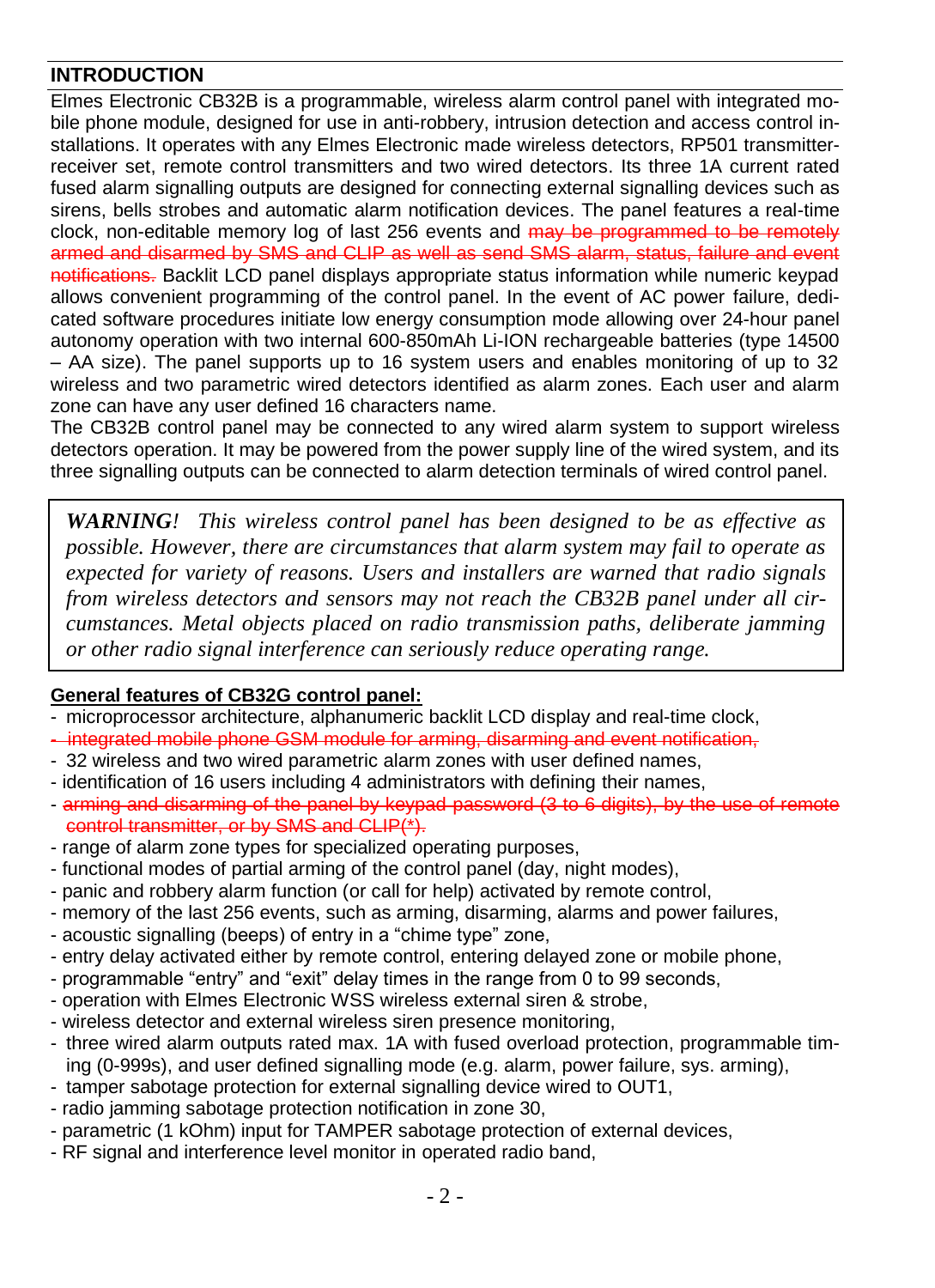# <span id="page-1-0"></span>**INTRODUCTION**

Elmes Electronic CB32B is a programmable, wireless alarm control panel with integrated mobile phone module, designed for use in anti-robbery, intrusion detection and access control installations. It operates with any Elmes Electronic made wireless detectors, RP501 transmitterreceiver set, remote control transmitters and two wired detectors. Its three 1A current rated fused alarm signalling outputs are designed for connecting external signalling devices such as sirens, bells strobes and automatic alarm notification devices. The panel features a real-time clock, non-editable memory log of last 256 events and may be programmed to be remotely armed and disarmed by SMS and CLIP as well as send SMS alarm, status, failure and event notifications. Backlit LCD panel displays appropriate status information while numeric keypad allows convenient programming of the control panel. In the event of AC power failure, dedicated software procedures initiate low energy consumption mode allowing over 24-hour panel autonomy operation with two internal 600-850mAh Li-ION rechargeable batteries (type 14500 – AA size). The panel supports up to 16 system users and enables monitoring of up to 32 wireless and two parametric wired detectors identified as alarm zones. Each user and alarm zone can have any user defined 16 characters name.

The CB32B control panel may be connected to any wired alarm system to support wireless detectors operation. It may be powered from the power supply line of the wired system, and its three signalling outputs can be connected to alarm detection terminals of wired control panel.

*WARNING! This wireless control panel has been designed to be as effective as possible. However, there are circumstances that alarm system may fail to operate as expected for variety of reasons. Users and installers are warned that radio signals from wireless detectors and sensors may not reach the CB32B panel under all circumstances. Metal objects placed on radio transmission paths, deliberate jamming or other radio signal interference can seriously reduce operating range.* 

#### **General features of CB32G control panel:**

- microprocessor architecture, alphanumeric backlit LCD display and real-time clock,
- integrated mobile phone GSM module for arming, disarming and event notification,
- 32 wireless and two wired parametric alarm zones with user defined names,
- identification of 16 users including 4 administrators with defining their names,
- arming and disarming of the panel by keypad password (3 to 6 digits), by the use of remote control transmitter, or by SMS and CLIP(\*).
- range of alarm zone types for specialized operating purposes,
- functional modes of partial arming of the control panel (day, night modes),
- panic and robbery alarm function (or call for help) activated by remote control,
- memory of the last 256 events, such as arming, disarming, alarms and power failures,
- acoustic signalling (beeps) of entry in a "chime type" zone,
- entry delay activated either by remote control, entering delayed zone or mobile phone,
- programmable "entry" and "exit" delay times in the range from 0 to 99 seconds,
- operation with Elmes Electronic WSS wireless external siren & strobe,
- wireless detector and external wireless siren presence monitoring,
- three wired alarm outputs rated max. 1A with fused overload protection, programmable timing (0-999s), and user defined signalling mode (e.g. alarm, power failure, sys. arming),
- tamper sabotage protection for external signalling device wired to OUT1,
- radio jamming sabotage protection notification in zone 30,
- parametric (1 kOhm) input for TAMPER sabotage protection of external devices,
- RF signal and interference level monitor in operated radio band,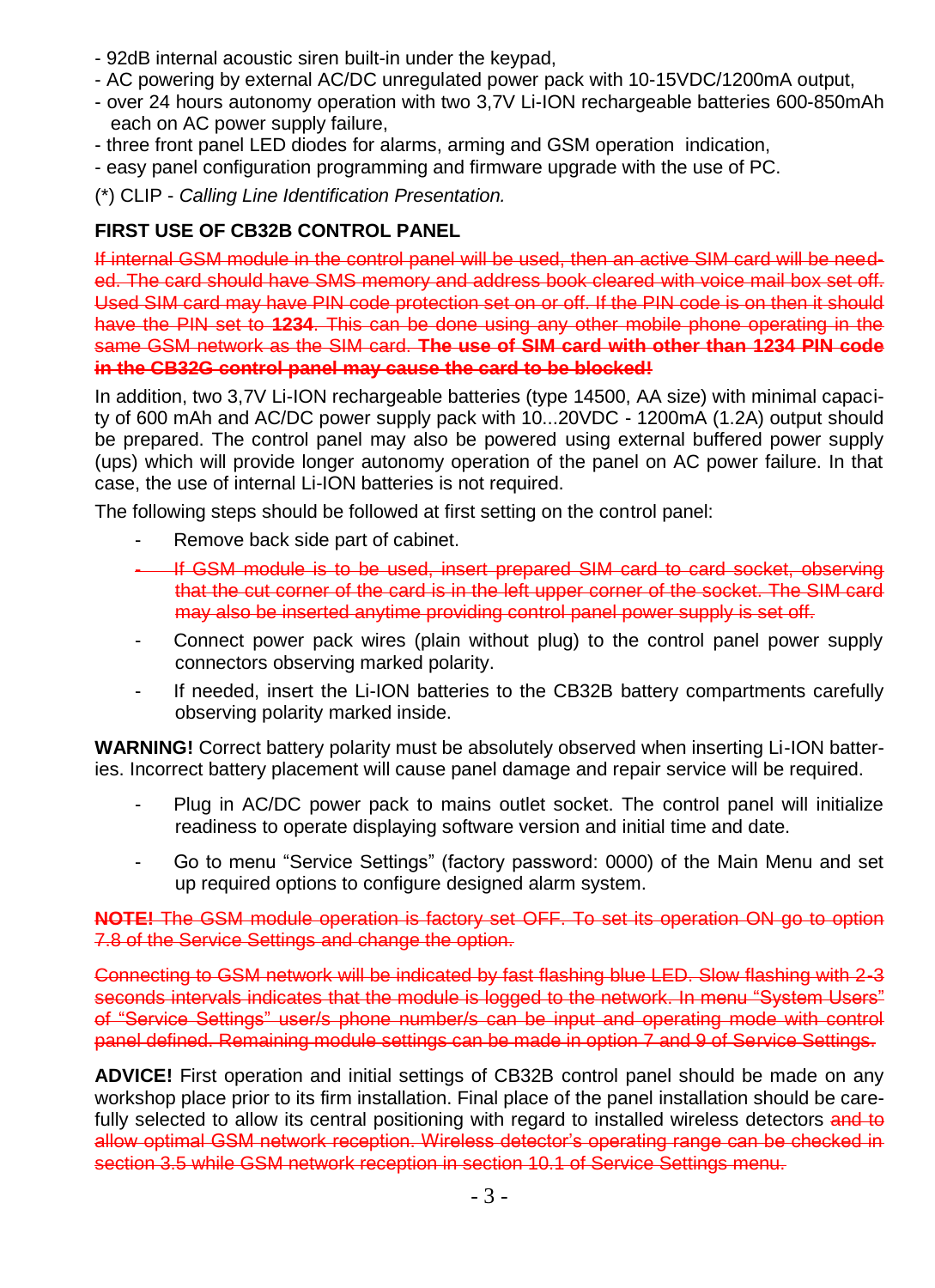- 92dB internal acoustic siren built-in under the keypad,
- AC powering by external AC/DC unregulated power pack with 10-15VDC/1200mA output,
- over 24 hours autonomy operation with two 3,7V Li-ION rechargeable batteries 600-850mAh each on AC power supply failure,
- three front panel LED diodes for alarms, arming and GSM operation indication,
- easy panel configuration programming and firmware upgrade with the use of PC.

(\*) CLIP - *Calling Line Identification Presentation.*

# **FIRST USE OF CB32B CONTROL PANEL**

If internal GSM module in the control panel will be used, then an active SIM card will be needed. The card should have SMS memory and address book cleared with voice mail box set off. Used SIM card may have PIN code protection set on or off. If the PIN code is on then it should have the PIN set to **1234**. This can be done using any other mobile phone operating in the same GSM network as the SIM card. **The use of SIM card with other than 1234 PIN code in the CB32G control panel may cause the card to be blocked!**

In addition, two 3,7V Li-ION rechargeable batteries (type 14500, AA size) with minimal capacity of 600 mAh and AC/DC power supply pack with 10...20VDC - 1200mA (1.2A) output should be prepared. The control panel may also be powered using external buffered power supply (ups) which will provide longer autonomy operation of the panel on AC power failure. In that case, the use of internal Li-ION batteries is not required.

The following steps should be followed at first setting on the control panel:

- Remove back side part of cabinet.
- If GSM module is to be used, insert prepared SIM card to card socket, observing that the cut corner of the card is in the left upper corner of the socket. The SIM card may also be inserted anytime providing control panel power supply is set off.
- Connect power pack wires (plain without plug) to the control panel power supply connectors observing marked polarity.
- If needed. insert the Li-ION batteries to the CB32B battery compartments carefully observing polarity marked inside.

**WARNING!** Correct battery polarity must be absolutely observed when inserting Li-ION batteries. Incorrect battery placement will cause panel damage and repair service will be required.

- Plug in AC/DC power pack to mains outlet socket. The control panel will initialize readiness to operate displaying software version and initial time and date.
- Go to menu "Service Settings" (factory password: 0000) of the Main Menu and set up required options to configure designed alarm system.

**NOTE!** The GSM module operation is factory set OFF. To set its operation ON go to option 7.8 of the Service Settings and change the option.

Connecting to GSM network will be indicated by fast flashing blue LED. Slow flashing with 2-3 seconds intervals indicates that the module is logged to the network. In menu "System Users" of "Service Settings" user/s phone number/s can be input and operating mode with control panel defined. Remaining module settings can be made in option 7 and 9 of Service Settings.

**ADVICE!** First operation and initial settings of CB32B control panel should be made on any workshop place prior to its firm installation. Final place of the panel installation should be carefully selected to allow its central positioning with regard to installed wireless detectors and to allow optimal GSM network reception. Wireless detector's operating range can be checked in section 3.5 while GSM network reception in section 10.1 of Service Settings menu.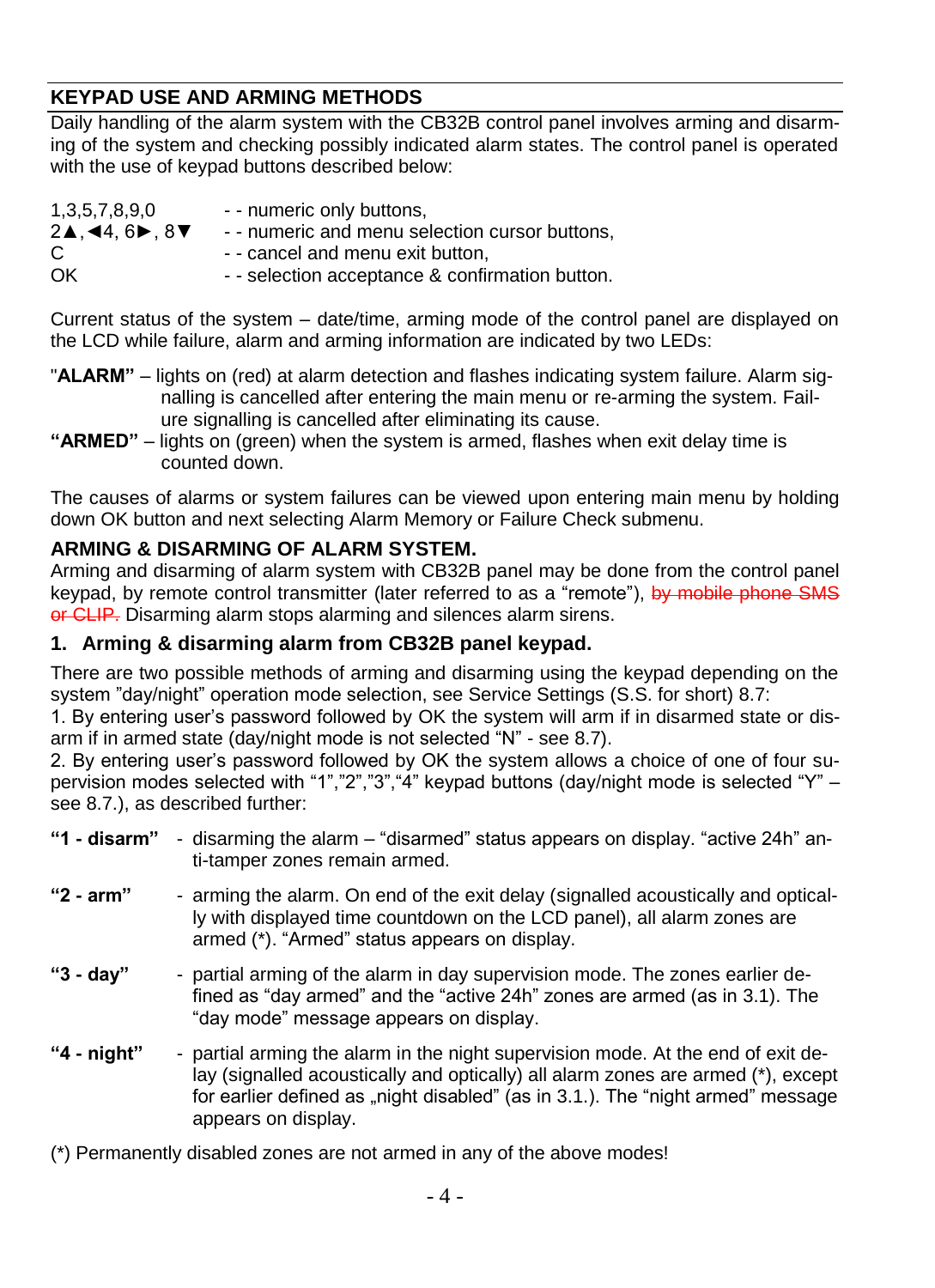# <span id="page-3-0"></span>**KEYPAD USE AND ARMING METHODS**

Daily handling of the alarm system with the CB32B control panel involves arming and disarming of the system and checking possibly indicated alarm states. The control panel is operated with the use of keypad buttons described below:

| 1,3,5,7,8,9,0                                                | - - numeric only buttons.                       |
|--------------------------------------------------------------|-------------------------------------------------|
| $2\blacktriangle$ , 44, 6 $\blacktriangleright$ , 8 $\nabla$ | - - numeric and menu selection cursor buttons,  |
| C                                                            | - - cancel and menu exit button.                |
| OK                                                           | - - selection acceptance & confirmation button. |

Current status of the system – date/time, arming mode of the control panel are displayed on the LCD while failure, alarm and arming information are indicated by two LEDs:

- "**ALARM"** lights on (red) at alarm detection and flashes indicating system failure. Alarm signalling is cancelled after entering the main menu or re-arming the system. Failure signalling is cancelled after eliminating its cause.
- **"ARMED"**  lights on (green) when the system is armed, flashes when exit delay time is counted down.

The causes of alarms or system failures can be viewed upon entering main menu by holding down OK button and next selecting Alarm Memory or Failure Check submenu.

# <span id="page-3-1"></span>**ARMING & DISARMING OF ALARM SYSTEM.**

Arming and disarming of alarm system with CB32B panel may be done from the control panel keypad, by remote control transmitter (later referred to as a "remote"), by mobile phone SMS or CLIP. Disarming alarm stops alarming and silences alarm sirens.

#### <span id="page-3-2"></span>**1. Arming & disarming alarm from CB32B panel keypad.**

There are two possible methods of arming and disarming using the keypad depending on the system "day/night" operation mode selection, see Service Settings (S.S. for short) 8.7:

1. By entering user's password followed by OK the system will arm if in disarmed state or disarm if in armed state (day/night mode is not selected "N" - see 8.7).

2. By entering user's password followed by OK the system allows a choice of one of four supervision modes selected with "1","2","3","4" keypad buttons (day/night mode is selected "Y" – see 8.7.), as described further:

| "1 - disarm" - disarming the alarm – "disarmed" status appears on display. "active 24h" an- |  |
|---------------------------------------------------------------------------------------------|--|
| ti-tamper zones remain armed.                                                               |  |

- **"2 - arm"** arming the alarm. On end of the exit delay (signalled acoustically and optically with displayed time countdown on the LCD panel), all alarm zones are armed (\*). "Armed" status appears on display.
- **"3 - day"** partial arming of the alarm in day supervision mode. The zones earlier defined as "day armed" and the "active 24h" zones are armed (as in 3.1). The "day mode" message appears on display.
- **"4 - night"** partial arming the alarm in the night supervision mode. At the end of exit delay (signalled acoustically and optically) all alarm zones are armed (\*), except for earlier defined as "night disabled" (as in 3.1.). The "night armed" message appears on display.
- (\*) Permanently disabled zones are not armed in any of the above modes!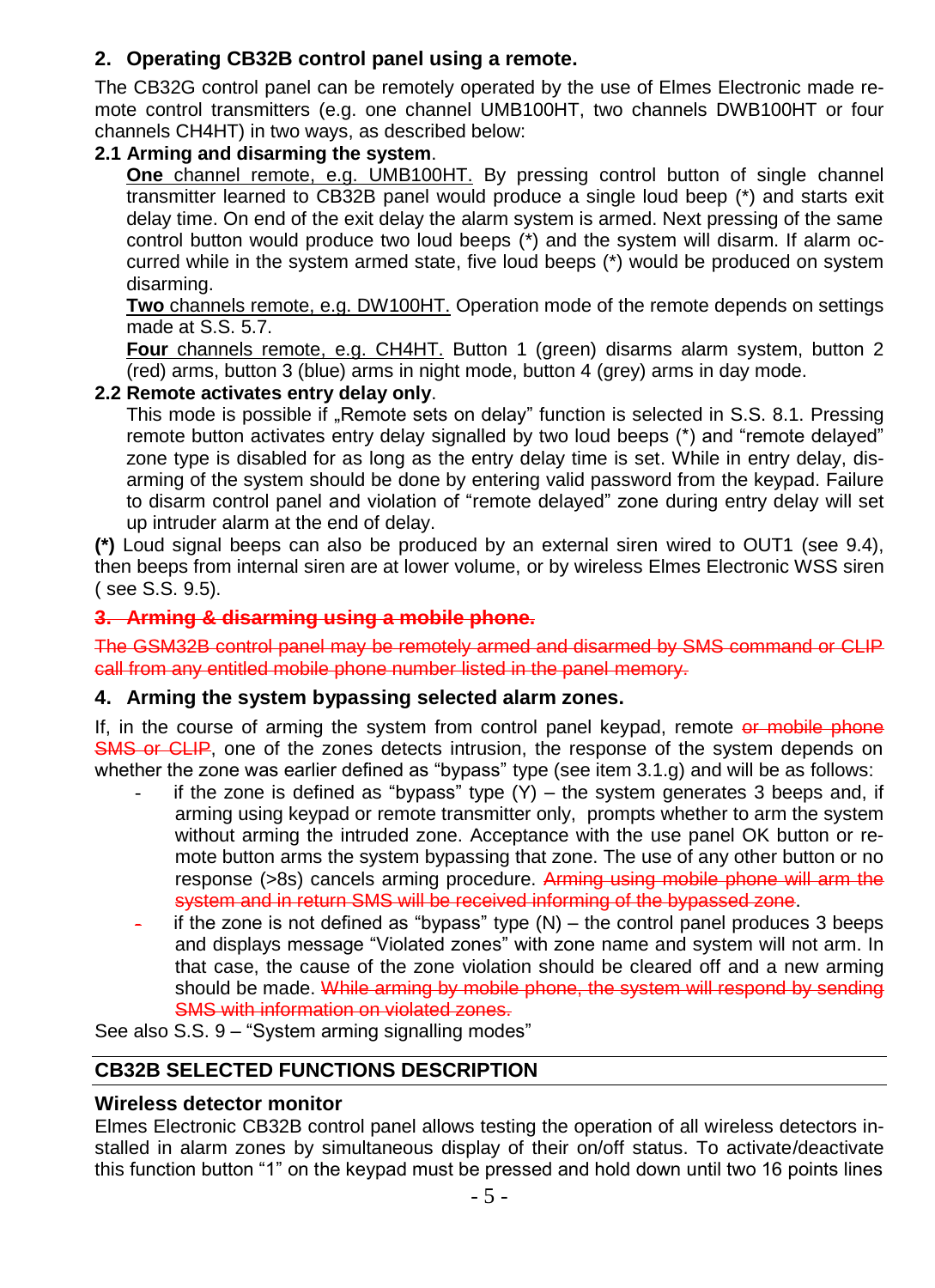# <span id="page-4-0"></span>**2. Operating CB32B control panel using a remote.**

The CB32G control panel can be remotely operated by the use of Elmes Electronic made remote control transmitters (e.g. one channel UMB100HT, two channels DWB100HT or four channels CH4HT) in two ways, as described below:

### **2.1 Arming and disarming the system**.

**One** channel remote, e.g. UMB100HT. By pressing control button of single channel transmitter learned to CB32B panel would produce a single loud beep (\*) and starts exit delay time. On end of the exit delay the alarm system is armed. Next pressing of the same control button would produce two loud beeps (\*) and the system will disarm. If alarm occurred while in the system armed state, five loud beeps (\*) would be produced on system disarming.

**Two** channels remote, e.g. DW100HT. Operation mode of the remote depends on settings made at S.S. 5.7.

**Four** channels remote, e.g. CH4HT. Button 1 (green) disarms alarm system, button 2  $(\text{red})$  arms, button  $3$  (blue) arms in night mode, button 4 (grey) arms in day mode.

#### **2.2 Remote activates entry delay only**.

This mode is possible if "Remote sets on delay" function is selected in S.S. 8.1. Pressing remote button activates entry delay signalled by two loud beeps (\*) and "remote delayed" zone type is disabled for as long as the entry delay time is set. While in entry delay, disarming of the system should be done by entering valid password from the keypad. Failure to disarm control panel and violation of "remote delayed" zone during entry delay will set up intruder alarm at the end of delay.

**(\*)** Loud signal beeps can also be produced by an external siren wired to OUT1 (see 9.4), then beeps from internal siren are at lower volume, or by wireless Elmes Electronic WSS siren ( see S.S. 9.5).

### <span id="page-4-1"></span>**3. Arming & disarming using a mobile phone.**

The GSM32B control panel may be remotely armed and disarmed by SMS command or CLIP call from any entitled mobile phone number listed in the panel memory.

#### <span id="page-4-2"></span>**4. Arming the system bypassing selected alarm zones.**

If, in the course of arming the system from control panel keypad, remote or mobile phone SMS or CLIP, one of the zones detects intrusion, the response of the system depends on whether the zone was earlier defined as "bypass" type (see item 3.1.g) and will be as follows:

- if the zone is defined as "bypass" type  $(Y)$  the system generates 3 beeps and, if arming using keypad or remote transmitter only, prompts whether to arm the system without arming the intruded zone. Acceptance with the use panel OK button or remote button arms the system bypassing that zone. The use of any other button or no response (>8s) cancels arming procedure. Arming using mobile phone will arm the system and in return SMS will be received informing of the bypassed zone.
- if the zone is not defined as "bypass" type  $(N)$  the control panel produces 3 beeps and displays message "Violated zones" with zone name and system will not arm. In that case, the cause of the zone violation should be cleared off and a new arming should be made. While arming by mobile phone, the system will respond by sending SMS with information on violated zones.

See also S.S. 9 – "System arming signalling modes"

# <span id="page-4-3"></span>**CB32B SELECTED FUNCTIONS DESCRIPTION**

#### <span id="page-4-4"></span>**Wireless detector monitor**

Elmes Electronic CB32B control panel allows testing the operation of all wireless detectors installed in alarm zones by simultaneous display of their on/off status. To activate/deactivate this function button "1" on the keypad must be pressed and hold down until two 16 points lines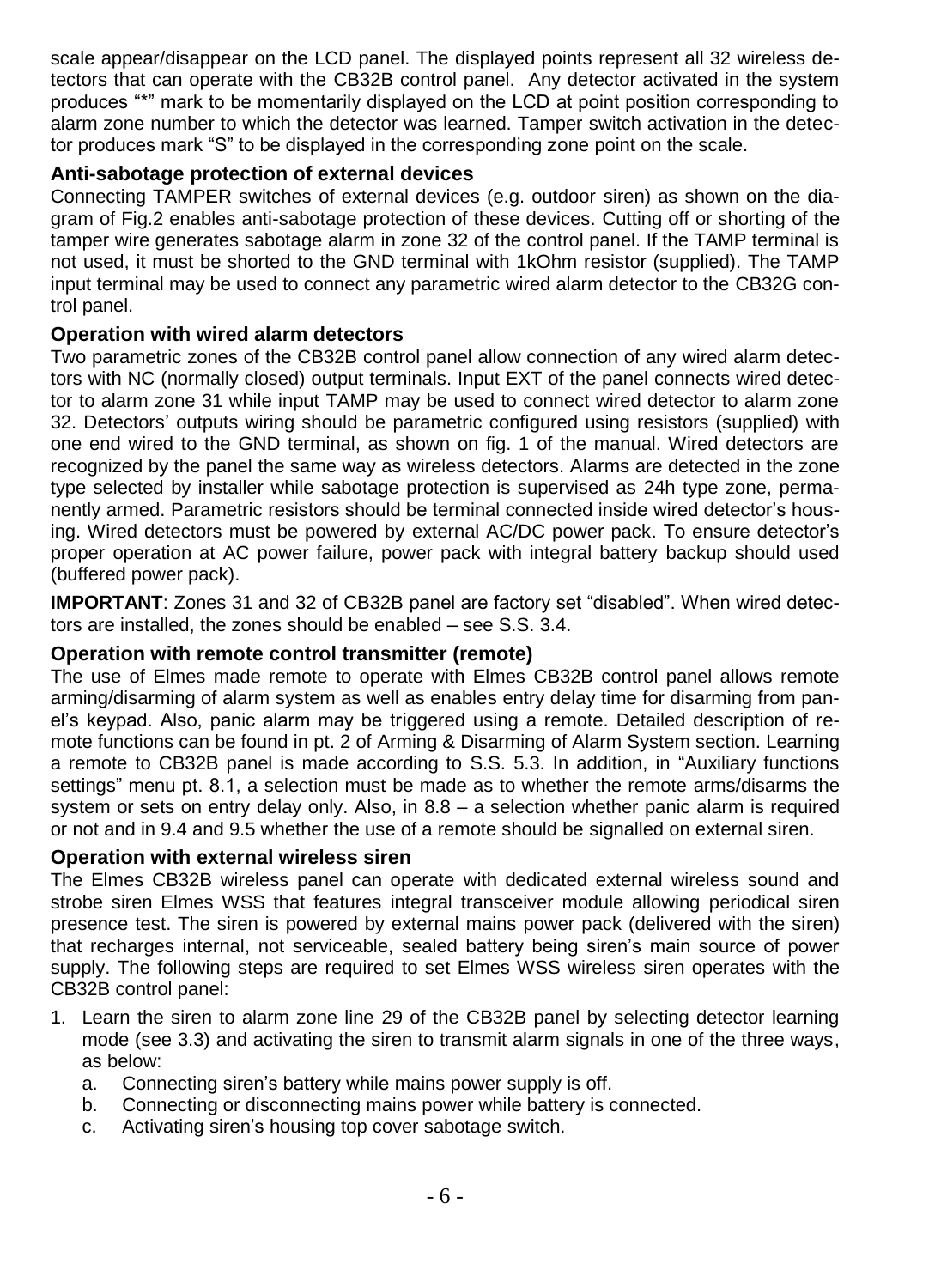scale appear/disappear on the LCD panel. The displayed points represent all 32 wireless detectors that can operate with the CB32B control panel. Any detector activated in the system produces "\*" mark to be momentarily displayed on the LCD at point position corresponding to alarm zone number to which the detector was learned. Tamper switch activation in the detector produces mark "S" to be displayed in the corresponding zone point on the scale.

# <span id="page-5-0"></span>**Anti-sabotage protection of external devices**

Connecting TAMPER switches of external devices (e.g. outdoor siren) as shown on the diagram of Fig.2 enables anti-sabotage protection of these devices. Cutting off or shorting of the tamper wire generates sabotage alarm in zone 32 of the control panel. If the TAMP terminal is not used, it must be shorted to the GND terminal with 1kOhm resistor (supplied). The TAMP input terminal may be used to connect any parametric wired alarm detector to the CB32G control panel.

# <span id="page-5-1"></span>**Operation with wired alarm detectors**

Two parametric zones of the CB32B control panel allow connection of any wired alarm detectors with NC (normally closed) output terminals. Input EXT of the panel connects wired detector to alarm zone 31 while input TAMP may be used to connect wired detector to alarm zone 32. Detectors' outputs wiring should be parametric configured using resistors (supplied) with one end wired to the GND terminal, as shown on fig. 1 of the manual. Wired detectors are recognized by the panel the same way as wireless detectors. Alarms are detected in the zone type selected by installer while sabotage protection is supervised as 24h type zone, permanently armed. Parametric resistors should be terminal connected inside wired detector's housing. Wired detectors must be powered by external AC/DC power pack. To ensure detector's proper operation at AC power failure, power pack with integral battery backup should used (buffered power pack).

**IMPORTANT**: Zones 31 and 32 of CB32B panel are factory set "disabled". When wired detectors are installed, the zones should be enabled – see S.S. 3.4.

# <span id="page-5-2"></span>**Operation with remote control transmitter (remote)**

The use of Elmes made remote to operate with Elmes CB32B control panel allows remote arming/disarming of alarm system as well as enables entry delay time for disarming from panel's keypad. Also, panic alarm may be triggered using a remote. Detailed description of remote functions can be found in pt. 2 of Arming & Disarming of Alarm System section. Learning a remote to CB32B panel is made according to S.S. 5.3. In addition, in "Auxiliary functions settings" menu pt. 8.1, a selection must be made as to whether the remote arms/disarms the system or sets on entry delay only. Also, in 8.8 – a selection whether panic alarm is required or not and in 9.4 and 9.5 whether the use of a remote should be signalled on external siren.

# <span id="page-5-3"></span>**Operation with external wireless siren**

The Elmes CB32B wireless panel can operate with dedicated external wireless sound and strobe siren Elmes WSS that features integral transceiver module allowing periodical siren presence test. The siren is powered by external mains power pack (delivered with the siren) that recharges internal, not serviceable, sealed battery being siren's main source of power supply. The following steps are required to set Elmes WSS wireless siren operates with the CB32B control panel:

- 1. Learn the siren to alarm zone line 29 of the CB32B panel by selecting detector learning mode (see 3.3) and activating the siren to transmit alarm signals in one of the three ways, as below:
	- a. Connecting siren's battery while mains power supply is off.
	- b. Connecting or disconnecting mains power while battery is connected.
	- c. Activating siren's housing top cover sabotage switch.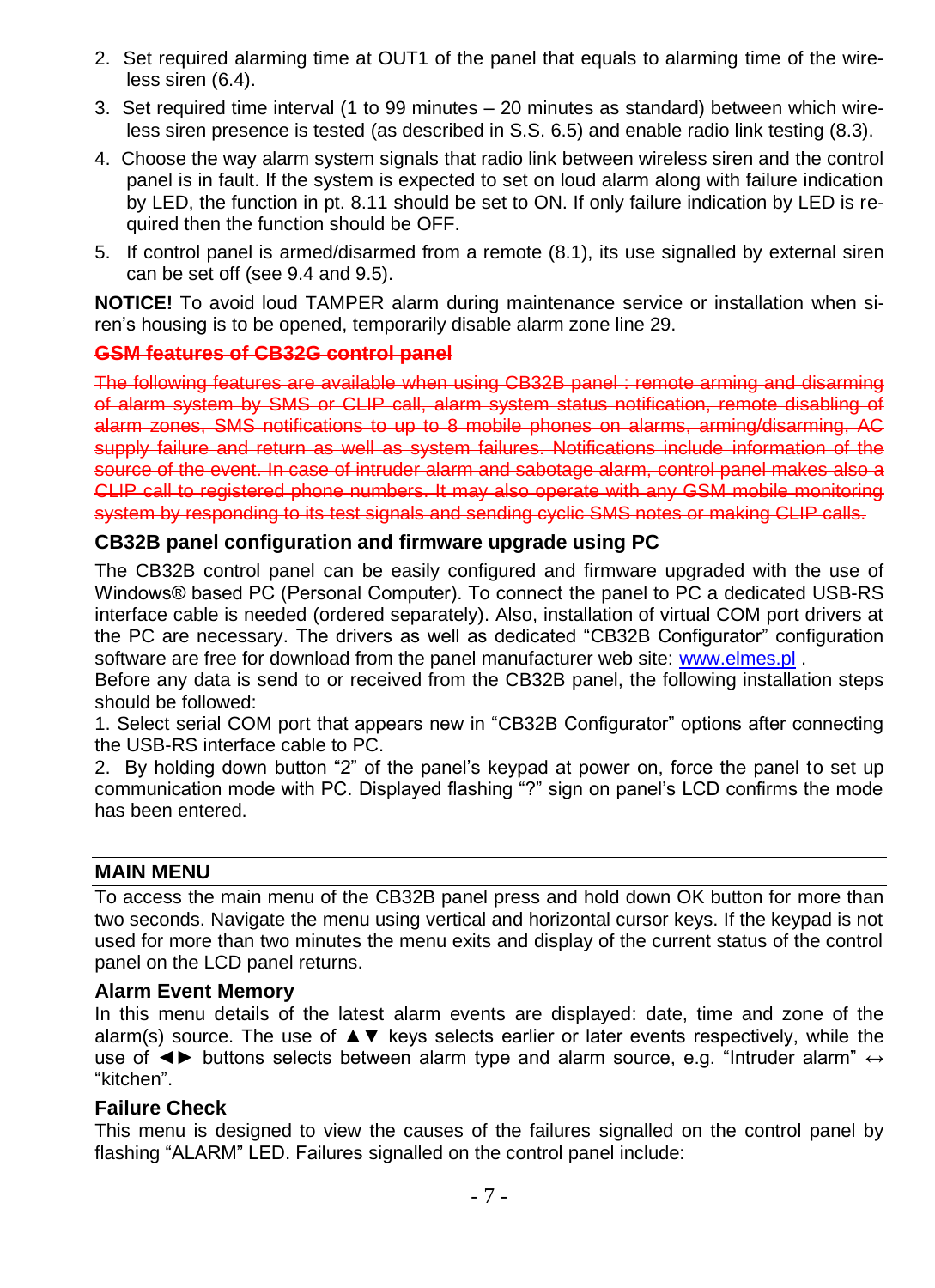- 2. Set required alarming time at OUT1 of the panel that equals to alarming time of the wireless siren (6.4).
- 3. Set required time interval (1 to 99 minutes 20 minutes as standard) between which wireless siren presence is tested (as described in S.S. 6.5) and enable radio link testing (8.3).
- 4. Choose the way alarm system signals that radio link between wireless siren and the control panel is in fault. If the system is expected to set on loud alarm along with failure indication by LED, the function in pt. 8.11 should be set to ON. If only failure indication by LED is required then the function should be OFF.
- 5. If control panel is armed/disarmed from a remote (8.1), its use signalled by external siren can be set off (see 9.4 and 9.5).

**NOTICE!** To avoid loud TAMPER alarm during maintenance service or installation when siren's housing is to be opened, temporarily disable alarm zone line 29.

#### <span id="page-6-0"></span>**GSM features of CB32G control panel**

The following features are available when using CB32B panel : remote arming and disarming of alarm system by SMS or CLIP call, alarm system status notification, remote disabling of alarm zones, SMS notifications to up to 8 mobile phones on alarms, arming/disarming, AC supply failure and return as well as system failures. Notifications include information of the source of the event. In case of intruder alarm and sabotage alarm, control panel makes also a CLIP call to registered phone numbers. It may also operate with any GSM mobile monitoring system by responding to its test signals and sending cyclic SMS notes or making CLIP calls.

#### <span id="page-6-1"></span>**CB32B panel configuration and firmware upgrade using PC**

The CB32B control panel can be easily configured and firmware upgraded with the use of Windows® based PC (Personal Computer). To connect the panel to PC a dedicated USB-RS interface cable is needed (ordered separately). Also, installation of virtual COM port drivers at the PC are necessary. The drivers as well as dedicated "CB32B Configurator" configuration software are free for download from the panel manufacturer web site: [www.elmes.pl](http://www.elmes.pl/) .

Before any data is send to or received from the CB32B panel, the following installation steps should be followed:

1. Select serial COM port that appears new in "CB32B Configurator" options after connecting the USB-RS interface cable to PC.

2. By holding down button "2" of the panel's keypad at power on, force the panel to set up communication mode with PC. Displayed flashing "?" sign on panel's LCD confirms the mode has been entered.

#### <span id="page-6-2"></span>**MAIN MENU**

To access the main menu of the CB32B panel press and hold down OK button for more than two seconds. Navigate the menu using vertical and horizontal cursor keys. If the keypad is not used for more than two minutes the menu exits and display of the current status of the control panel on the LCD panel returns.

#### <span id="page-6-3"></span>**Alarm Event Memory**

In this menu details of the latest alarm events are displayed: date, time and zone of the alarm(s) source. The use of ▲▼ keys selects earlier or later events respectively, while the use of <► buttons selects between alarm type and alarm source, e.g. "Intruder alarm" ↔ "kitchen".

#### <span id="page-6-4"></span>**Failure Check**

This menu is designed to view the causes of the failures signalled on the control panel by flashing "ALARM" LED. Failures signalled on the control panel include: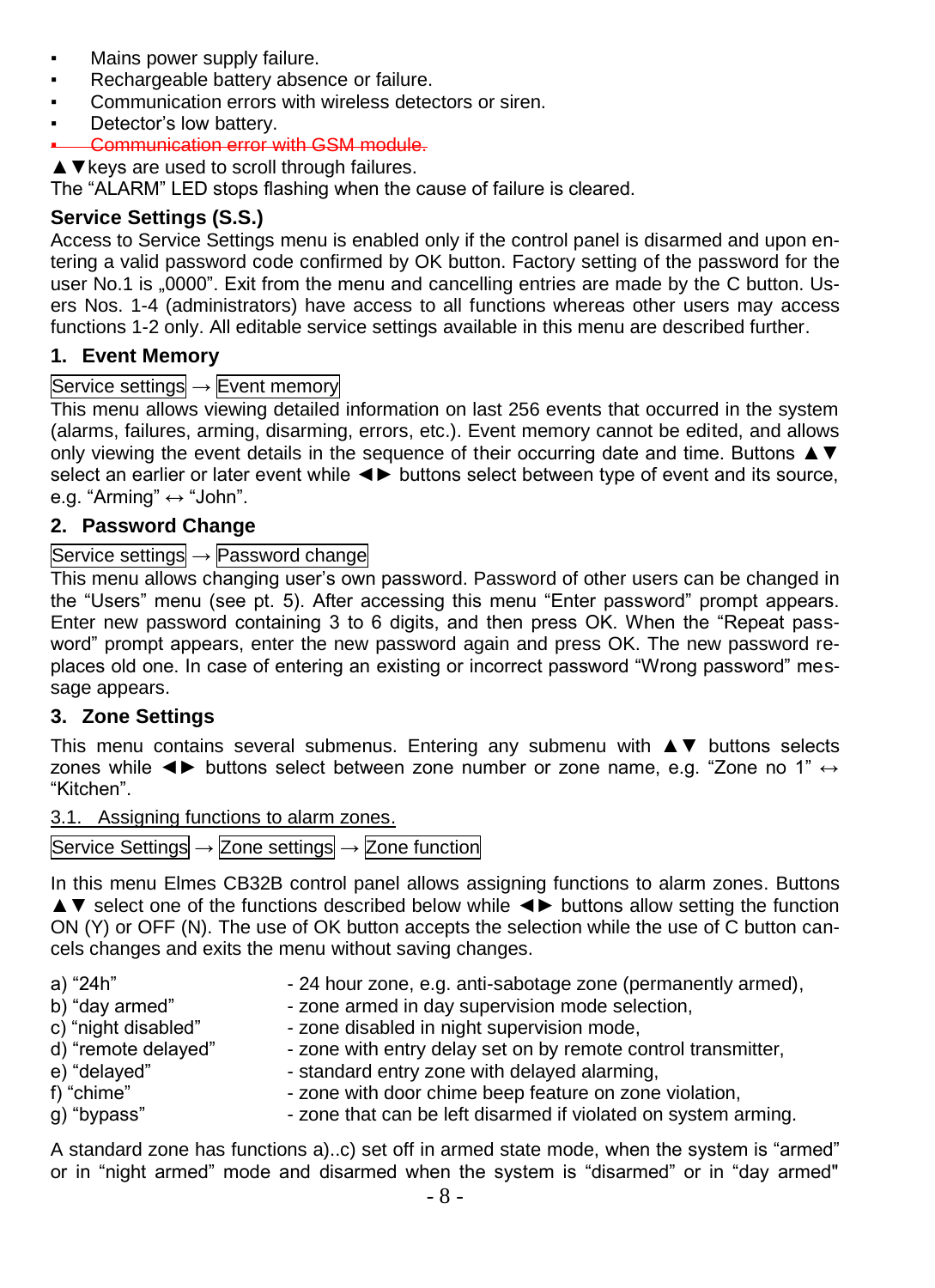- Mains power supply failure.
- **Rechargeable battery absence or failure.**
- **Communication errors with wireless detectors or siren.**
- Detector's low battery.

#### **Example Communication error with GSM module.**

▲▼keys are used to scroll through failures.

The "ALARM" LED stops flashing when the cause of failure is cleared.

# <span id="page-7-0"></span>**Service Settings (S.S.)**

Access to Service Settings menu is enabled only if the control panel is disarmed and upon entering a valid password code confirmed by OK button. Factory setting of the password for the user No.1 is "0000". Exit from the menu and cancelling entries are made by the C button. Users Nos. 1-4 (administrators) have access to all functions whereas other users may access functions 1-2 only. All editable service settings available in this menu are described further.

### <span id="page-7-1"></span>**1. Event Memory**

### Service settings → Event memory

This menu allows viewing detailed information on last 256 events that occurred in the system (alarms, failures, arming, disarming, errors, etc.). Event memory cannot be edited, and allows only viewing the event details in the sequence of their occurring date and time. Buttons ▲▼ select an earlier or later event while ◄► buttons select between type of event and its source, e.g. "Arming"  $\leftrightarrow$  "John".

### <span id="page-7-2"></span>**2. Password Change**

#### Service settings → Password change

This menu allows changing user's own password. Password of other users can be changed in the "Users" menu (see pt. 5). After accessing this menu "Enter password" prompt appears. Enter new password containing 3 to 6 digits, and then press OK. When the "Repeat password" prompt appears, enter the new password again and press OK. The new password replaces old one. In case of entering an existing or incorrect password "Wrong password" message appears.

#### <span id="page-7-3"></span>**3. Zone Settings**

This menu contains several submenus. Entering any submenu with ▲▼ buttons selects zones while <► buttons select between zone number or zone name, e.g. "Zone no 1" ↔ "Kitchen".

3.1. Assigning functions to alarm zones.

|  | Service Settings $\rightarrow$ Zone settings $\rightarrow$ Zone function |  |  |  |  |  |  |
|--|--------------------------------------------------------------------------|--|--|--|--|--|--|
|--|--------------------------------------------------------------------------|--|--|--|--|--|--|

In this menu Elmes CB32B control panel allows assigning functions to alarm zones. Buttons ▲▼ select one of the functions described below while ◄► buttons allow setting the function ON (Y) or OFF (N). The use of OK button accepts the selection while the use of C button cancels changes and exits the menu without saving changes.

| a) "24h"            | - 24 hour zone, e.g. anti-sabotage zone (permanently armed),   |
|---------------------|----------------------------------------------------------------|
| b) "day armed"      | - zone armed in day supervision mode selection,                |
| c) "night disabled" | - zone disabled in night supervision mode,                     |
| d) "remote delayed" | - zone with entry delay set on by remote control transmitter,  |
| e) "delayed"        | - standard entry zone with delayed alarming.                   |
| f) "chime"          | - zone with door chime beep feature on zone violation,         |
| g) "bypass"         | - zone that can be left disarmed if violated on system arming. |

A standard zone has functions a)..c) set off in armed state mode, when the system is "armed" or in "night armed" mode and disarmed when the system is "disarmed" or in "day armed"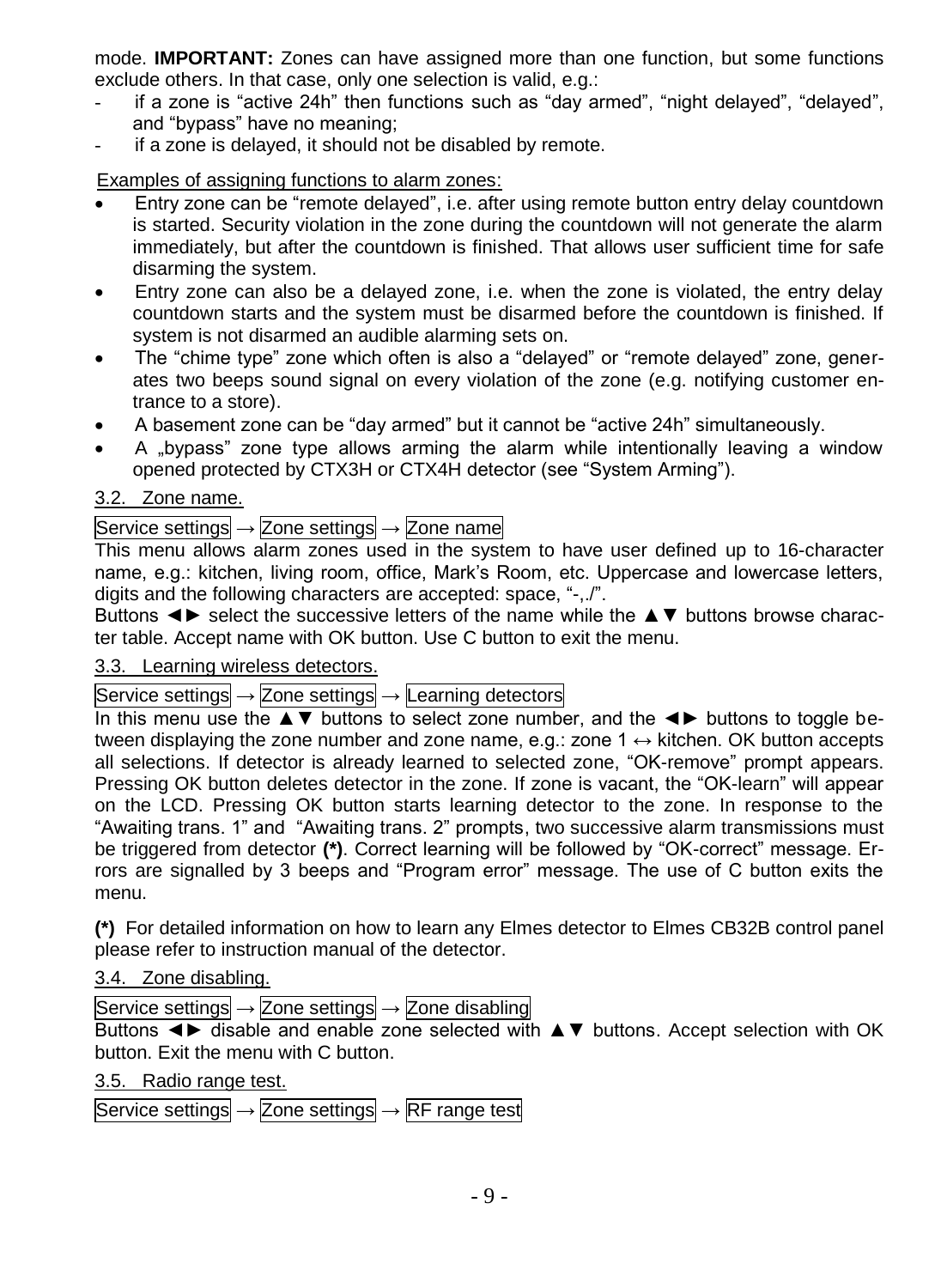mode. **IMPORTANT:** Zones can have assigned more than one function, but some functions exclude others. In that case, only one selection is valid, e.g.:

- if a zone is "active 24h" then functions such as "day armed", "night delayed", "delayed", and "bypass" have no meaning;
- if a zone is delayed, it should not be disabled by remote.

Examples of assigning functions to alarm zones:

- Entry zone can be "remote delayed", i.e. after using remote button entry delay countdown is started. Security violation in the zone during the countdown will not generate the alarm immediately, but after the countdown is finished. That allows user sufficient time for safe disarming the system.
- Entry zone can also be a delayed zone, i.e. when the zone is violated, the entry delay countdown starts and the system must be disarmed before the countdown is finished. If system is not disarmed an audible alarming sets on.
- The "chime type" zone which often is also a "delayed" or "remote delayed" zone, generates two beeps sound signal on every violation of the zone (e.g. notifying customer entrance to a store).
- A basement zone can be "day armed" but it cannot be "active 24h" simultaneously.
- A "bypass" zone type allows arming the alarm while intentionally leaving a window opened protected by CTX3H or CTX4H detector (see "System Arming").

### 3.2. Zone name.

### Service settings  $\rightarrow$  Zone settings  $\rightarrow$  Zone name

This menu allows alarm zones used in the system to have user defined up to 16-character name, e.g.: kitchen, living room, office, Mark's Room, etc. Uppercase and lowercase letters, digits and the following characters are accepted: space, "-,./".

Buttons ◄► select the successive letters of the name while the ▲▼ buttons browse character table. Accept name with OK button. Use C button to exit the menu.

#### 3.3. Learning wireless detectors.

#### Service settings  $\rightarrow$  Zone settings  $\rightarrow$  Learning detectors

In this menu use the ▲▼ buttons to select zone number, and the ◄► buttons to toggle between displaying the zone number and zone name, e.g.: zone  $1 \leftrightarrow$  kitchen. OK button accepts all selections. If detector is already learned to selected zone, "OK-remove" prompt appears. Pressing OK button deletes detector in the zone. If zone is vacant, the "OK-learn" will appear on the LCD. Pressing OK button starts learning detector to the zone. In response to the "Awaiting trans. 1" and "Awaiting trans. 2" prompts, two successive alarm transmissions must be triggered from detector **(\*)**. Correct learning will be followed by "OK-correct" message. Errors are signalled by 3 beeps and "Program error" message. The use of C button exits the menu.

**(\*)** For detailed information on how to learn any Elmes detector to Elmes CB32B control panel please refer to instruction manual of the detector.

# 3.4. Zone disabling.

Service settings  $\rightarrow$  Zone settings  $\rightarrow$  Zone disabling

Buttons ◄► disable and enable zone selected with ▲▼ buttons. Accept selection with OK button. Exit the menu with C button.

3.5. Radio range test.

Service settings  $\rightarrow$  Zone settings  $\rightarrow$  RF range test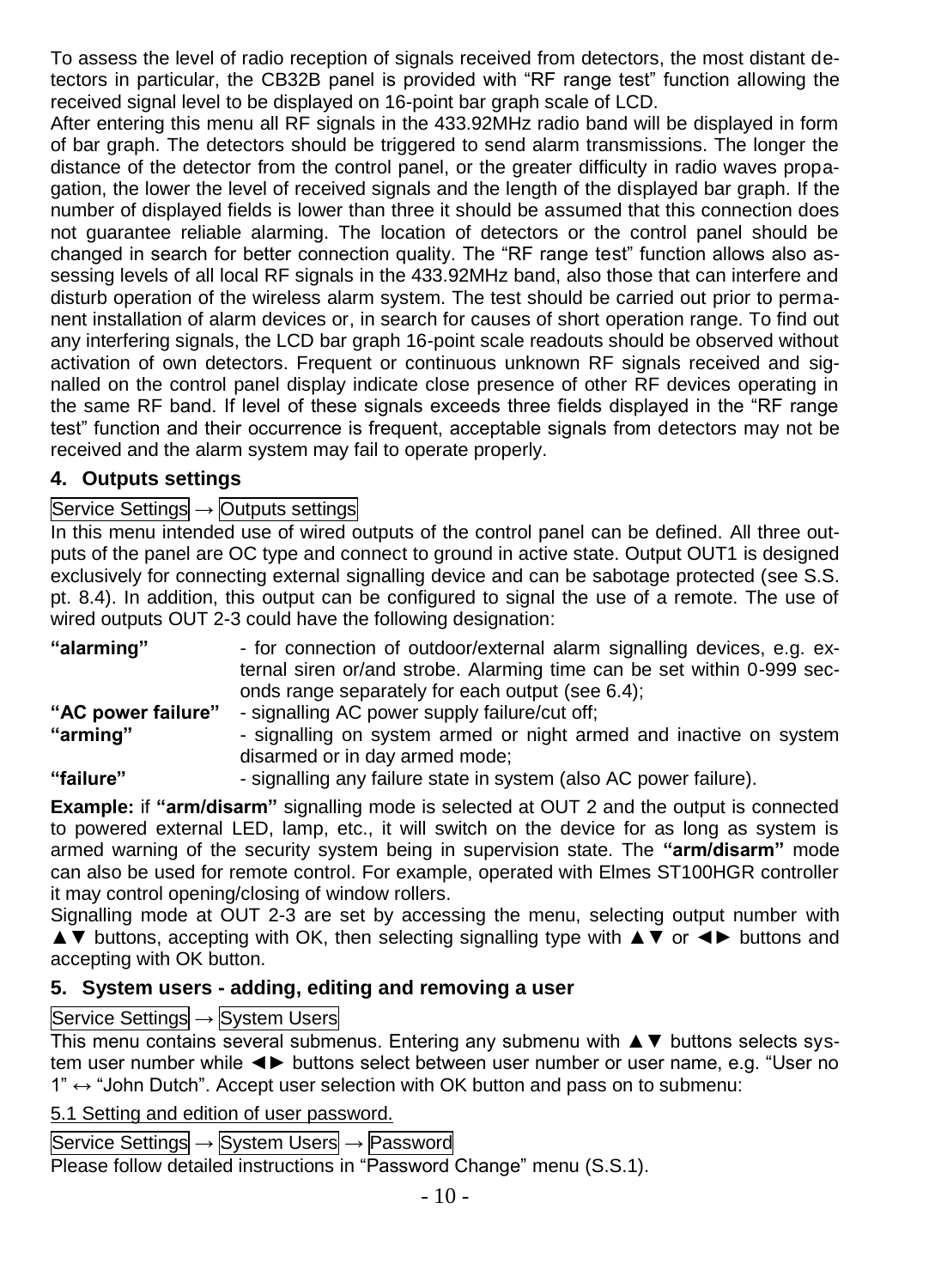To assess the level of radio reception of signals received from detectors, the most distant detectors in particular, the CB32B panel is provided with "RF range test" function allowing the received signal level to be displayed on 16-point bar graph scale of LCD.

After entering this menu all RF signals in the 433.92MHz radio band will be displayed in form of bar graph. The detectors should be triggered to send alarm transmissions. The longer the distance of the detector from the control panel, or the greater difficulty in radio waves propagation, the lower the level of received signals and the length of the displayed bar graph. If the number of displayed fields is lower than three it should be assumed that this connection does not guarantee reliable alarming. The location of detectors or the control panel should be changed in search for better connection quality. The "RF range test" function allows also assessing levels of all local RF signals in the 433.92MHz band, also those that can interfere and disturb operation of the wireless alarm system. The test should be carried out prior to permanent installation of alarm devices or, in search for causes of short operation range. To find out any interfering signals, the LCD bar graph 16-point scale readouts should be observed without activation of own detectors. Frequent or continuous unknown RF signals received and signalled on the control panel display indicate close presence of other RF devices operating in the same RF band. If level of these signals exceeds three fields displayed in the "RF range test" function and their occurrence is frequent, acceptable signals from detectors may not be received and the alarm system may fail to operate properly.

# <span id="page-9-0"></span>**4. Outputs settings**

# Service Settings → Outputs settings

In this menu intended use of wired outputs of the control panel can be defined. All three outputs of the panel are OC type and connect to ground in active state. Output OUT1 is designed exclusively for connecting external signalling device and can be sabotage protected (see S.S. pt. 8.4). In addition, this output can be configured to signal the use of a remote. The use of wired outputs OUT 2-3 could have the following designation:

| "alarming"         | - for connection of outdoor/external alarm signalling devices, e.g. ex-<br>ternal siren or/and strobe. Alarming time can be set within 0-999 sec- |
|--------------------|---------------------------------------------------------------------------------------------------------------------------------------------------|
|                    | onds range separately for each output (see 6.4);                                                                                                  |
| "AC power failure" | - signalling AC power supply failure/cut off:                                                                                                     |
| "arming"           | - signalling on system armed or night armed and inactive on system                                                                                |
|                    | disarmed or in day armed mode;                                                                                                                    |
| $(11 - 11 - 2)$    | $\lambda$                                                                                                                                         |

**"failure"** - signalling any failure state in system (also AC power failure).

**Example:** if **"arm/disarm"** signalling mode is selected at OUT 2 and the output is connected to powered external LED, lamp, etc., it will switch on the device for as long as system is armed warning of the security system being in supervision state. The **"arm/disarm"** mode can also be used for remote control. For example, operated with Elmes ST100HGR controller it may control opening/closing of window rollers.

Signalling mode at OUT 2-3 are set by accessing the menu, selecting output number with ▲▼ buttons, accepting with OK, then selecting signalling type with ▲▼ or ◄► buttons and accepting with OK button.

# <span id="page-9-1"></span>**5. System users - adding, editing and removing a user**

# Service Settings → System Users

This menu contains several submenus. Entering any submenu with ▲▼ buttons selects system user number while ◄► buttons select between user number or user name, e.g. "User no  $1" \leftrightarrow$  "John Dutch". Accept user selection with OK button and pass on to submenu:

5.1 Setting and edition of user password.

Service Settings → System Users → Password

Please follow detailed instructions in "Password Change" menu (S.S.1).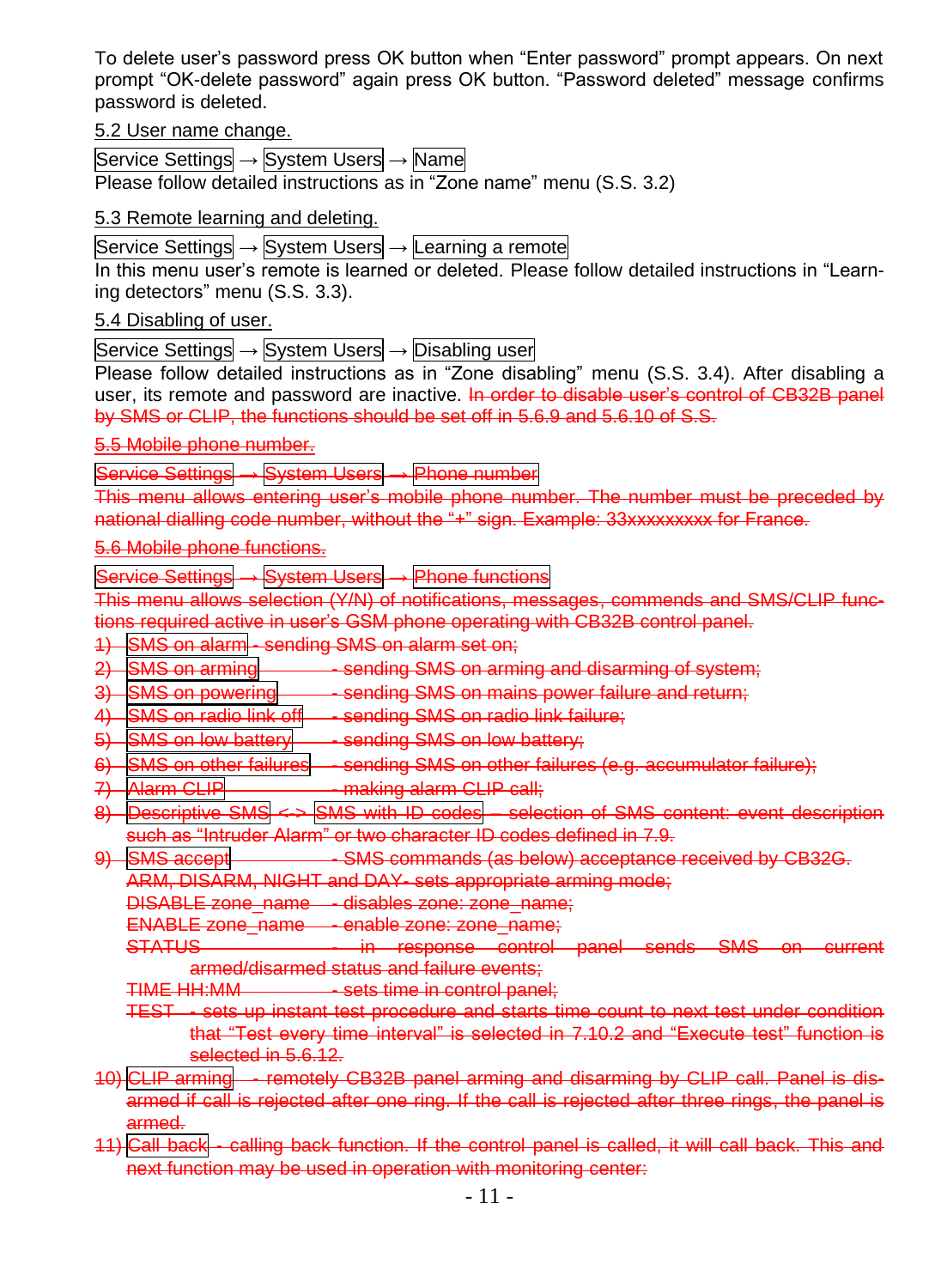To delete user's password press OK button when "Enter password" prompt appears. On next prompt "OK-delete password" again press OK button. "Password deleted" message confirms password is deleted.

5.2 User name change.

Service Settings → System Users → Name Please follow detailed instructions as in "Zone name" menu (S.S. 3.2)

#### 5.3 Remote learning and deleting.

Service Settings → System Users → Learning a remote

In this menu user's remote is learned or deleted. Please follow detailed instructions in "Learning detectors" menu (S.S. 3.3).

#### 5.4 Disabling of user.

Service Settings → System Users → Disabling user

Please follow detailed instructions as in "Zone disabling" menu (S.S. 3.4). After disabling a user, its remote and password are inactive. In order to disable user's control of CB32B panel by SMS or CLIP, the functions should be set off in 5.6.9 and 5.6.10 of S.S.

#### 5.5 Mobile phone number.

Service Settings → System Users → Phone number

This menu allows entering user's mobile phone number. The number must be preceded by national dialling code number, without the "+" sign. Example: 33xxxxxxxxx for France.

#### 5.6 Mobile phone functions.

Service Settings → System Users → Phone functions

menu allows selection (Y/N) of notifications, messages, commends and SMS/CLIP funcrequired active in user's GSM phone operating with CB32B control panel.

- 1) SMS on alarm sending SMS on alarm set on;
- 2) SMS on arming sending SMS on arming and disarming of system;
- 3) SMS on powering sending SMS on mains power failure and return;
- 4) SMS on radio link off sending SMS on radio link failure;
- 5) SMS on low battery sending SMS on low battery;
- 6) SMS on other failures sending SMS on other failures (e.g. accumulator failure);
- 7) Alarm CLIP making alarm CLIP call:
- 8) Descriptive SMS <-> SMS with ID codes selection of SMS content: event description
- such as "Intruder Alarm" or two character ID codes defined in 7.9. 9) SMS accept - SMS commands (as below) acceptance received by CB32G.
	- ARM, DISARM, NIGHT and DAY- sets appropriate arming mode;

DISABLE zone\_name - disables zone: zone\_name;

ENABLE zone\_name - enable zone: zone\_name;

STATUS - in response control panel sends SMS on current armed/disarmed status and failure events;

- TIME HH:MM sets time in control panel:
- TEST sets up instant test procedure and starts time count to next test under condition that "Test every time interval" is selected in 7.10.2 and "Execute test" function is selected in 5.6.12.
- 10) CLIP arming remotely CB32B panel arming and disarming by CLIP call. Panel is disarmed if call is rejected after one ring. If the call is rejected after three rings, the panel is armed.
- 11) Call back calling back function. If the control panel is called, it will call back. This and next function may be used in operation with monitoring center: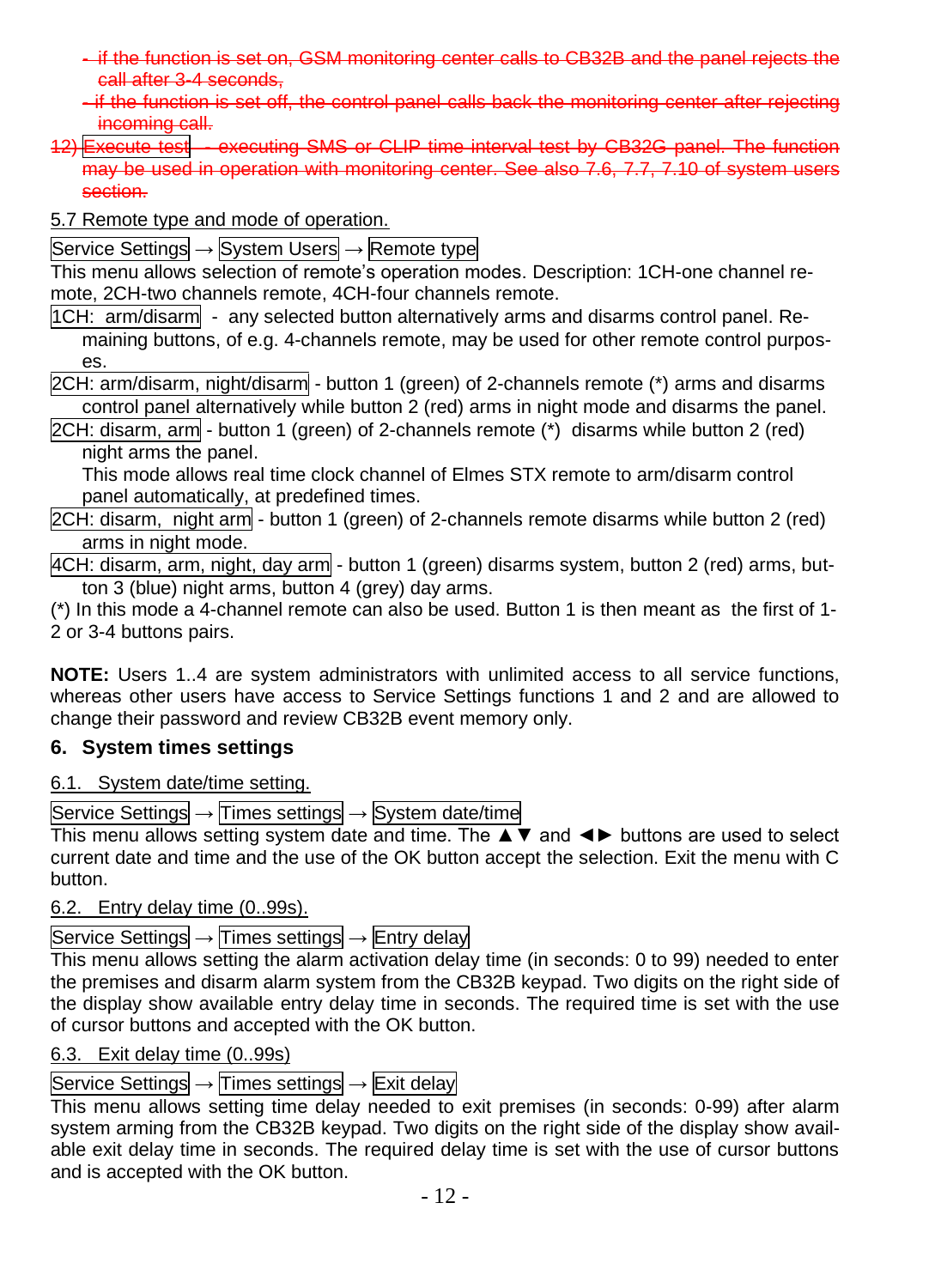- if the function is set on, GSM monitoring center calls to CB32B and the panel rejects the call after 3-4 seconds,
- if the function is set off, the control panel calls back the monitoring center after rejecting incoming call.
- 12) Execute test executing SMS or CLIP time interval test by CB32G panel. The function may be used in operation with monitoring center. See also 7.6, 7.7, 7.10 of system users section.
- 5.7 Remote type and mode of operation.

Service Settings → System Users → Remote type

This menu allows selection of remote's operation modes. Description: 1CH-one channel remote, 2CH-two channels remote, 4CH-four channels remote.

1CH: arm/disarm - any selected button alternatively arms and disarms control panel. Remaining buttons, of e.g. 4-channels remote, may be used for other remote control purposes.

2CH: arm/disarm, night/disarm - button 1 (green) of 2-channels remote (\*) arms and disarms control panel alternatively while button 2 (red) arms in night mode and disarms the panel.

2CH: disarm, arm - button 1 (green) of 2-channels remote (\*) disarms while button 2 (red) night arms the panel.

This mode allows real time clock channel of Elmes STX remote to arm/disarm control panel automatically, at predefined times.

2CH: disarm, night arm - button 1 (green) of 2-channels remote disarms while button 2 (red) arms in night mode.

4CH: disarm, arm, night, day arm - button 1 (green) disarms system, button 2 (red) arms, button 3 (blue) night arms, button 4 (grey) day arms.

(\*) In this mode a 4-channel remote can also be used. Button 1 is then meant as the first of 1- 2 or 3-4 buttons pairs.

**NOTE:** Users 1..4 are system administrators with unlimited access to all service functions, whereas other users have access to Service Settings functions 1 and 2 and are allowed to change their password and review CB32B event memory only.

# <span id="page-11-0"></span>**6. System times settings**

6.1. System date/time setting.

Service Settings → Times settings → System date/time

This menu allows setting system date and time. The ▲▼ and ◄► buttons are used to select current date and time and the use of the OK button accept the selection. Exit the menu with C button.

6.2. Entry delay time (0..99s).

Service Settings  $\rightarrow$  Times settings  $\rightarrow$  Entry delay

This menu allows setting the alarm activation delay time (in seconds: 0 to 99) needed to enter the premises and disarm alarm system from the CB32B keypad. Two digits on the right side of the display show available entry delay time in seconds. The required time is set with the use of cursor buttons and accepted with the OK button.

# 6.3. Exit delay time (0..99s)

# Service Settings → Times settings → Exit delay

This menu allows setting time delay needed to exit premises (in seconds: 0-99) after alarm system arming from the CB32B keypad. Two digits on the right side of the display show available exit delay time in seconds. The required delay time is set with the use of cursor buttons and is accepted with the OK button.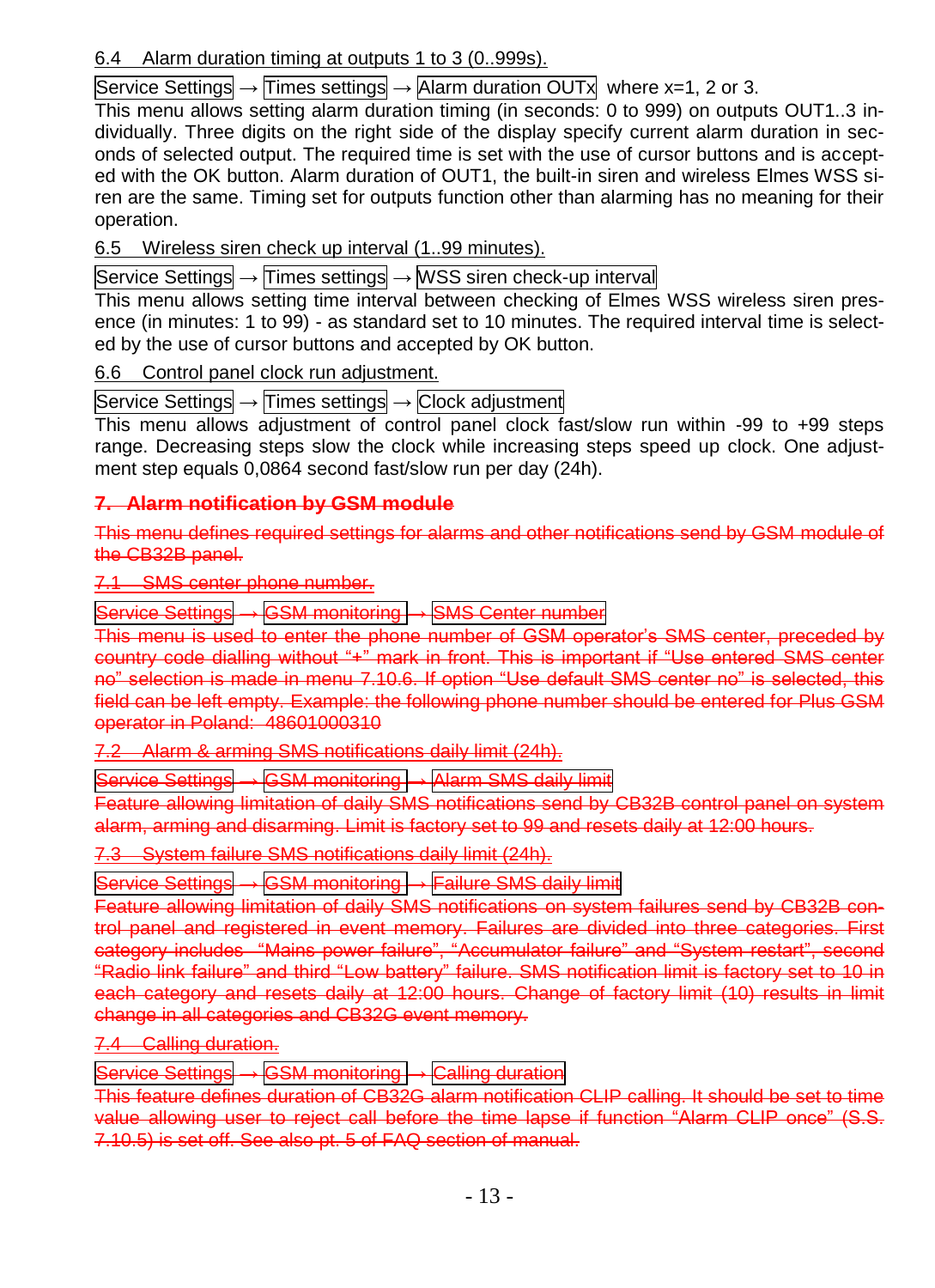# 6.4 Alarm duration timing at outputs 1 to 3 (0..999s).

Service Settings  $\rightarrow$  Times settings  $\rightarrow$  Alarm duration OUTx where x=1, 2 or 3.

This menu allows setting alarm duration timing (in seconds: 0 to 999) on outputs OUT1..3 individually. Three digits on the right side of the display specify current alarm duration in seconds of selected output. The required time is set with the use of cursor buttons and is accepted with the OK button. Alarm duration of OUT1, the built-in siren and wireless Elmes WSS siren are the same. Timing set for outputs function other than alarming has no meaning for their operation.

6.5 Wireless siren check up interval (1..99 minutes).

Service Settings → Times settings → WSS siren check-up interval

This menu allows setting time interval between checking of Elmes WSS wireless siren presence (in minutes: 1 to 99) - as standard set to 10 minutes. The required interval time is selected by the use of cursor buttons and accepted by OK button.

6.6 Control panel clock run adjustment.

Service Settings → Times settings → Clock adjustment

This menu allows adjustment of control panel clock fast/slow run within -99 to +99 steps range. Decreasing steps slow the clock while increasing steps speed up clock. One adjustment step equals 0,0864 second fast/slow run per day (24h).

# <span id="page-12-0"></span>**7. Alarm notification by GSM module**

This menu defines required settings for alarms and other notifications send by GSM module of the CB32B panel.

7.1 SMS center phone number.

Service Settings → GSM monitoring → SMS Center number

This menu is used to enter the phone number of GSM operator's SMS center, preceded by country code dialling without "+" mark in front. This is important if "Use entered SMS center no" selection is made in menu 7.10.6. If option "Use default SMS center no" is selected, this field can be left empty. Example: the following phone number should be entered for Plus GSM operator in Poland: 48601000310

7.2 Alarm & arming SMS notifications daily limit (24h).

Service Settings → GSM monitoring → Alarm SMS daily limit

Feature allowing limitation of daily SMS notifications send by CB32B control panel on system alarm, arming and disarming. Limit is factory set to 99 and resets daily at 12:00 hours.

System failure SMS notifications daily limit (24h).

Service Settings → GSM monitoring → Failure SMS daily limit

Feature allowing limitation of daily SMS notifications on system failures send by CB32B control panel and registered in event memory. Failures are divided into three categories. category includes "Mains power failure", "Accumulator failure" and "System restart", second "Radio link failure" and third "Low battery" failure. SMS notification limit is factory set to 10 in each category and resets daily at 12:00 hours. Change of factory limit (10) results in limit change in all categories and CB32G event memory.

7.4 Calling duration.

Service Settings → GSM monitoring → Calling duration

This feature defines duration of CB32G alarm notification CLIP calling. It should be set to time value allowing user to reject call before the time lapse if function "Alarm CLIP once" (S.S. 7.10.5) is set off. See also pt. 5 of FAQ section of manual.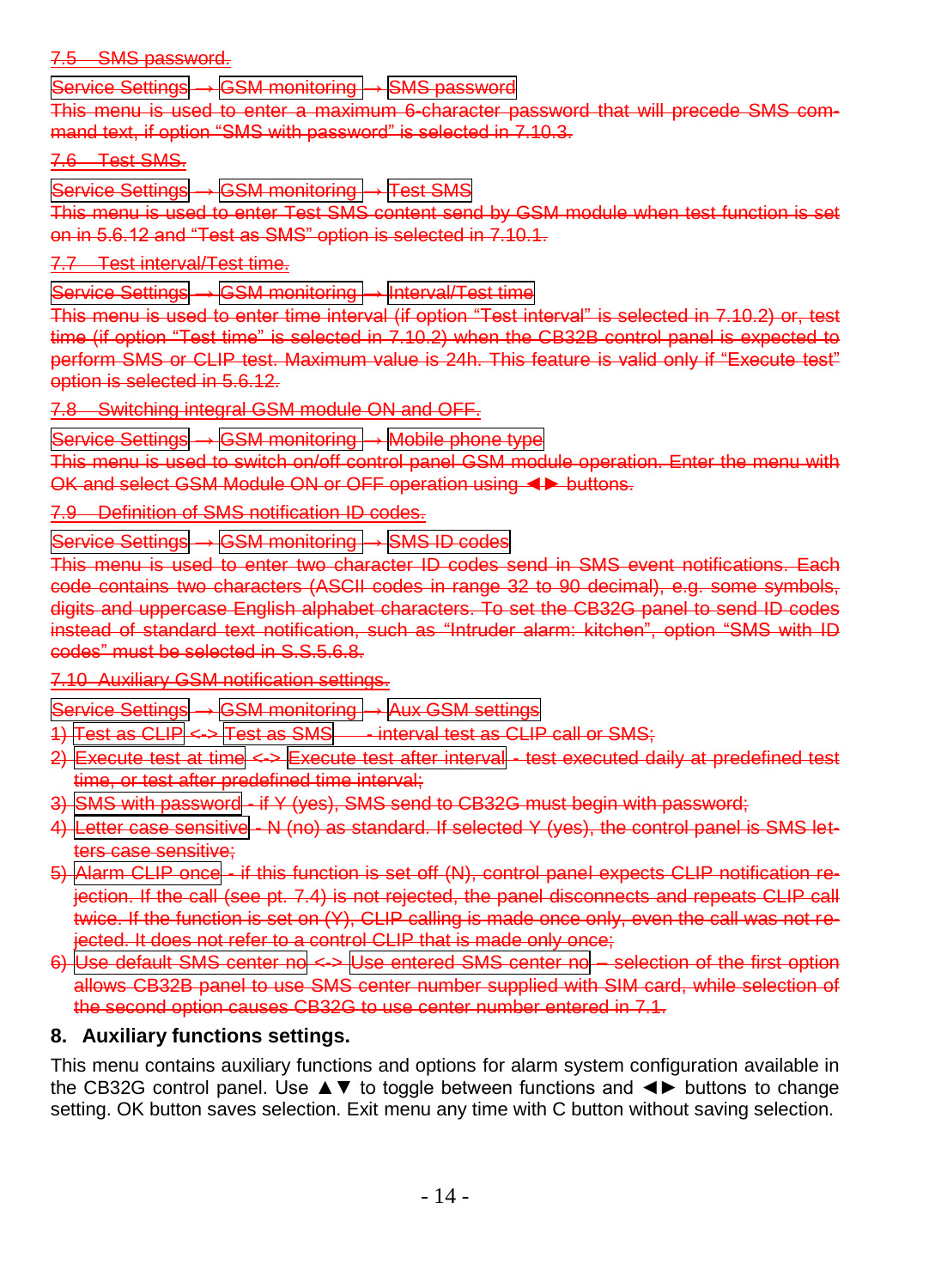#### 7.5 SMS password.

 $\text{Fvice}$  Settings  $\longrightarrow$  GSM monitoring  $\longrightarrow$  SMS passwo

This menu is used to enter a maximum 6-character password that will precede SMS command text, if option "SMS with password" is selected in 7.10.3.

#### 7.6 Test SMS.

Service Settings → GSM monitoring → Test SMS

This menu is used to enter Test SMS content send by GSM module when test function is set on in 5.6.12 and "Test as SMS" option is selected in 7.10.1.

7.7 Test interval/Test time.

Service Settings → GSM monitoring → Interval/Test time

This menu is used to enter time interval (if option "Test interval" is selected in 7.10.2) or, test time (if option "Test time" is selected in 7.10.2) when the CB32B control panel is expected to perform SMS or CLIP test. Maximum value is 24h. This feature is valid only if "Execute test" option is selected in 5.6.12.

7.8 Switching integral GSM module ON and OFF.

Service Settings → GSM monitoring → Mobile phone type

This menu is used to switch on/off control panel GSM module operation. Enter the menu with OK and select GSM Module ON or OFF operation using ◄► buttons.

**Definition of SMS notification ID codes.** 

Service Settings → GSM monitoring → SMS ID codes

This menu is used to enter two character ID codes send in SMS event notifications. Each code contains two characters (ASCII codes in range 32 to 90 decimal), e.g. some symbols, digits and uppercase English alphabet characters. To set the CB32G panel to send ID codes instead of standard text notification, such as "Intruder alarm: kitchen", option "SMS with ID codes" must be selected in S.S.5.6.8.

**Auxiliary GSM notification settings.** 

**GSM monitoring → Aux GSM settings** 

Test as CLIP <-> Test as SMS - interval test as CLIP call or SMS:

2) Execute test at time <-> Execute test after interval - test executed daily at predefined test or test after predefined time interval;

sword - if Y (yes), SMS send to CB32G must begin with password;

- 4) Letter case sensitive N (no) as standard. If selected Y (yes), the control panel is SMS letts case sensitive
- Alarm CLIP once if this function is set off (N), control panel expects CLIP notification rejection. If the call (see pt. 7.4) is not rejected, the panel disconnects and repeats CLIP call twice. If the function is set on (Y), CLIP calling is made once only, even the call was not reected. It does not refer to a control CLIP that is made only once;
- 6) Use default SMS center no <-> Use entered SMS center no selection of the first option allows CB32B panel to use SMS center number supplied with SIM card, while selection of the second option causes CB32G to use center number entered in 7.1.

# <span id="page-13-0"></span>**8. Auxiliary functions settings.**

This menu contains auxiliary functions and options for alarm system configuration available in the CB32G control panel. Use ▲▼ to toggle between functions and ◄► buttons to change setting. OK button saves selection. Exit menu any time with C button without saving selection.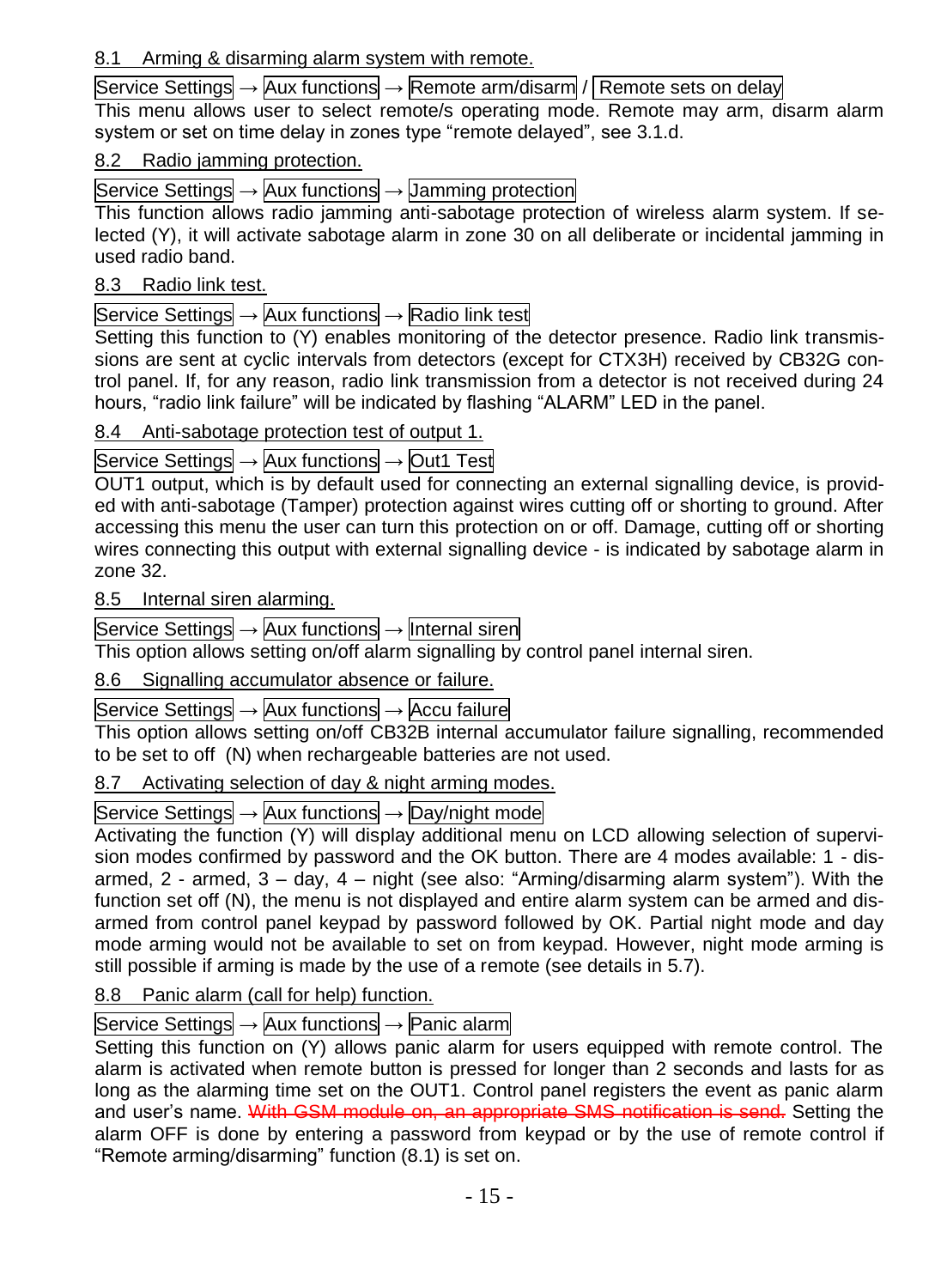# 8.1 Arming & disarming alarm system with remote.

# Service Settings → Aux functions → Remote arm/disarm / Remote sets on delay

This menu allows user to select remote/s operating mode. Remote may arm, disarm alarm system or set on time delay in zones type "remote delayed", see 3.1.d.

### 8.2 Radio jamming protection.

Service Settings → Aux functions → Jamming protection

This function allows radio jamming anti-sabotage protection of wireless alarm system. If selected (Y), it will activate sabotage alarm in zone 30 on all deliberate or incidental jamming in used radio band.

# 8.3 Radio link test.

Service Settings  $\rightarrow$  Aux functions  $\rightarrow$  Radio link test

Setting this function to (Y) enables monitoring of the detector presence. Radio link transmissions are sent at cyclic intervals from detectors (except for CTX3H) received by CB32G control panel. If, for any reason, radio link transmission from a detector is not received during 24 hours, "radio link failure" will be indicated by flashing "ALARM" LED in the panel.

# 8.4 Anti-sabotage protection test of output 1.

# Service Settings → Aux functions → Out1 Test

OUT1 output, which is by default used for connecting an external signalling device, is provided with anti-sabotage (Tamper) protection against wires cutting off or shorting to ground. After accessing this menu the user can turn this protection on or off. Damage, cutting off or shorting wires connecting this output with external signalling device - is indicated by sabotage alarm in zone 32.

# 8.5 Internal siren alarming.

Service Settings → Aux functions → Internal siren

This option allows setting on/off alarm signalling by control panel internal siren.

# 8.6 Signalling accumulator absence or failure.

# Service Settings → Aux functions → Accu failure

This option allows setting on/off CB32B internal accumulator failure signalling, recommended to be set to off (N) when rechargeable batteries are not used.

# 8.7 Activating selection of day & night arming modes.

# Service Settings  $\rightarrow$  Aux functions  $\rightarrow$  Day/night mode

Activating the function (Y) will display additional menu on LCD allowing selection of supervision modes confirmed by password and the OK button. There are 4 modes available: 1 - disarmed, 2 - armed, 3 – day, 4 – night (see also: "Arming/disarming alarm system"). With the function set off (N), the menu is not displayed and entire alarm system can be armed and disarmed from control panel keypad by password followed by OK. Partial night mode and day mode arming would not be available to set on from keypad. However, night mode arming is still possible if arming is made by the use of a remote (see details in 5.7).

# 8.8 Panic alarm (call for help) function.

# Service Settings  $\rightarrow$  Aux functions  $\rightarrow$  Panic alarm

Setting this function on (Y) allows panic alarm for users equipped with remote control. The alarm is activated when remote button is pressed for longer than 2 seconds and lasts for as long as the alarming time set on the OUT1. Control panel registers the event as panic alarm and user's name. With GSM module on, an appropriate SMS notification is send. Setting the alarm OFF is done by entering a password from keypad or by the use of remote control if "Remote arming/disarming" function (8.1) is set on.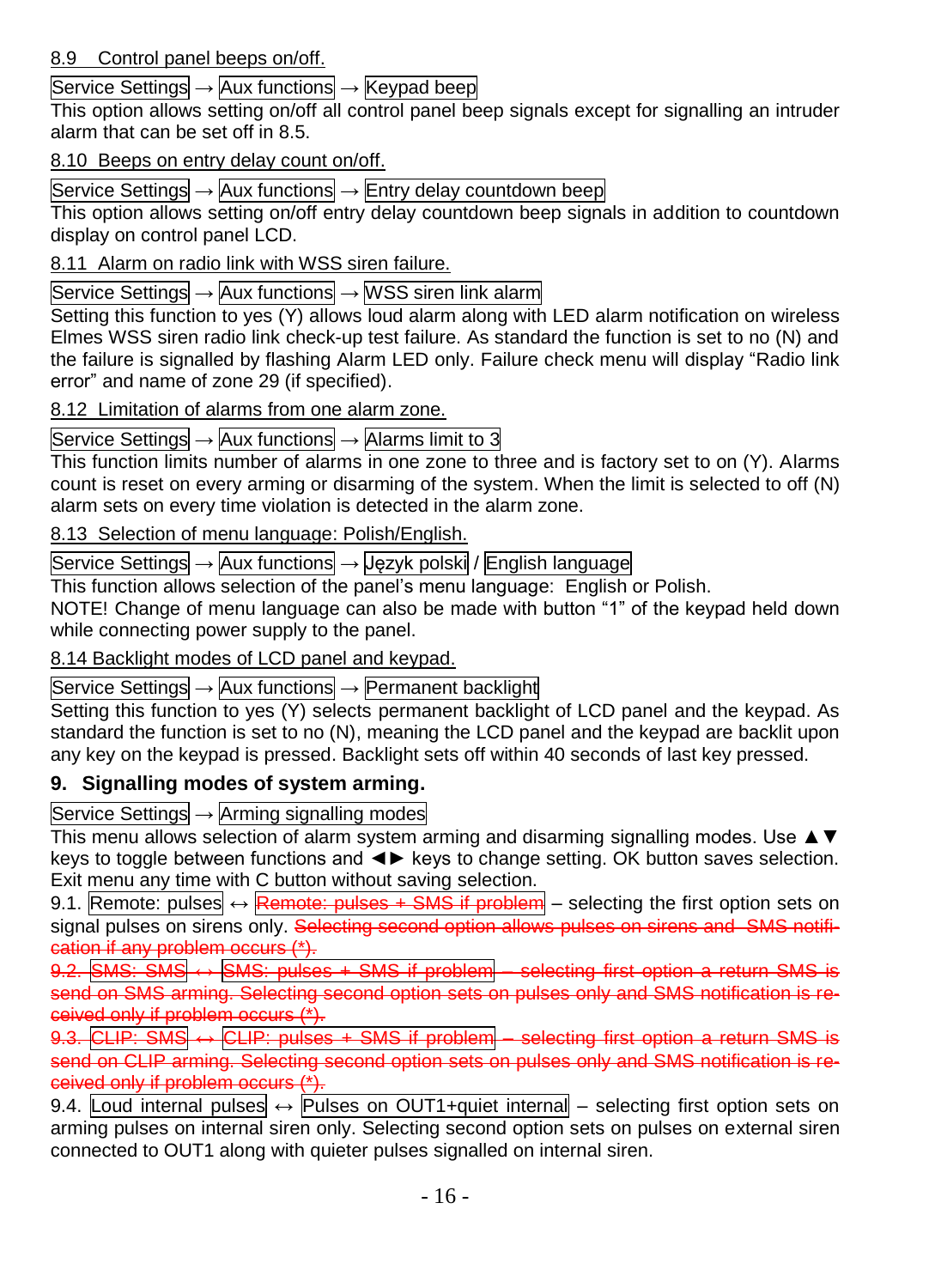Service Settings → Aux functions → Keypad beep

This option allows setting on/off all control panel beep signals except for signalling an intruder alarm that can be set off in 8.5.

# 8.10 Beeps on entry delay count on/off.

Service Settings  $\rightarrow$  Aux functions  $\rightarrow$  Entry delay countdown beep

This option allows setting on/off entry delay countdown beep signals in addition to countdown display on control panel LCD.

8.11 Alarm on radio link with WSS siren failure.

Service Settings → Aux functions → WSS siren link alarm

Setting this function to yes (Y) allows loud alarm along with LED alarm notification on wireless Elmes WSS siren radio link check-up test failure. As standard the function is set to no (N) and the failure is signalled by flashing Alarm LED only. Failure check menu will display "Radio link error" and name of zone 29 (if specified).

# 8.12 Limitation of alarms from one alarm zone.

Service Settings  $\rightarrow$  Aux functions  $\rightarrow$  Alarms limit to 3

This function limits number of alarms in one zone to three and is factory set to on (Y). Alarms count is reset on every arming or disarming of the system. When the limit is selected to off (N) alarm sets on every time violation is detected in the alarm zone.

8.13 Selection of menu language: Polish/English.

Service Settings → Aux functions → Język polski / English language

This function allows selection of the panel's menu language: English or Polish.

NOTE! Change of menu language can also be made with button "1" of the keypad held down while connecting power supply to the panel.

8.14 Backlight modes of LCD panel and keypad.

Service Settings → Aux functions → Permanent backlight

Setting this function to yes (Y) selects permanent backlight of LCD panel and the keypad. As standard the function is set to no (N), meaning the LCD panel and the keypad are backlit upon any key on the keypad is pressed. Backlight sets off within 40 seconds of last key pressed.

# <span id="page-15-0"></span>**9. Signalling modes of system arming.**

Service Settings → Arming signalling modes

This menu allows selection of alarm system arming and disarming signalling modes. Use ▲▼ keys to toggle between functions and ◄► keys to change setting. OK button saves selection. Exit menu any time with C button without saving selection.

9.1. Remote: pulses  $\leftrightarrow$  Remote: pulses + SMS if problem – selecting the first option sets on signal pulses on sirens only. Selecting second option allows pulses on sirens and SMS notification if any problem occurs (\*).

9.2. SMS:  $\frac{1}{5}$  SMS  $\leftrightarrow$  SMS: pulses + SMS if problem – selecting first option a return SMS is send on SMS arming. Selecting second option sets on pulses only and SMS notification is received only if problem occurs (\*).

9.3. CLIP: SMS  $\leftrightarrow$  CLIP: pulses + SMS if problem – selecting first option a return SMS is send on CLIP arming. Selecting second option sets on pulses only and SMS notification is received only if problem occurs (\*).

9.4. Loud internal pulses  $\leftrightarrow$  Pulses on OUT1+quiet internal – selecting first option sets on arming pulses on internal siren only. Selecting second option sets on pulses on external siren connected to OUT1 along with quieter pulses signalled on internal siren.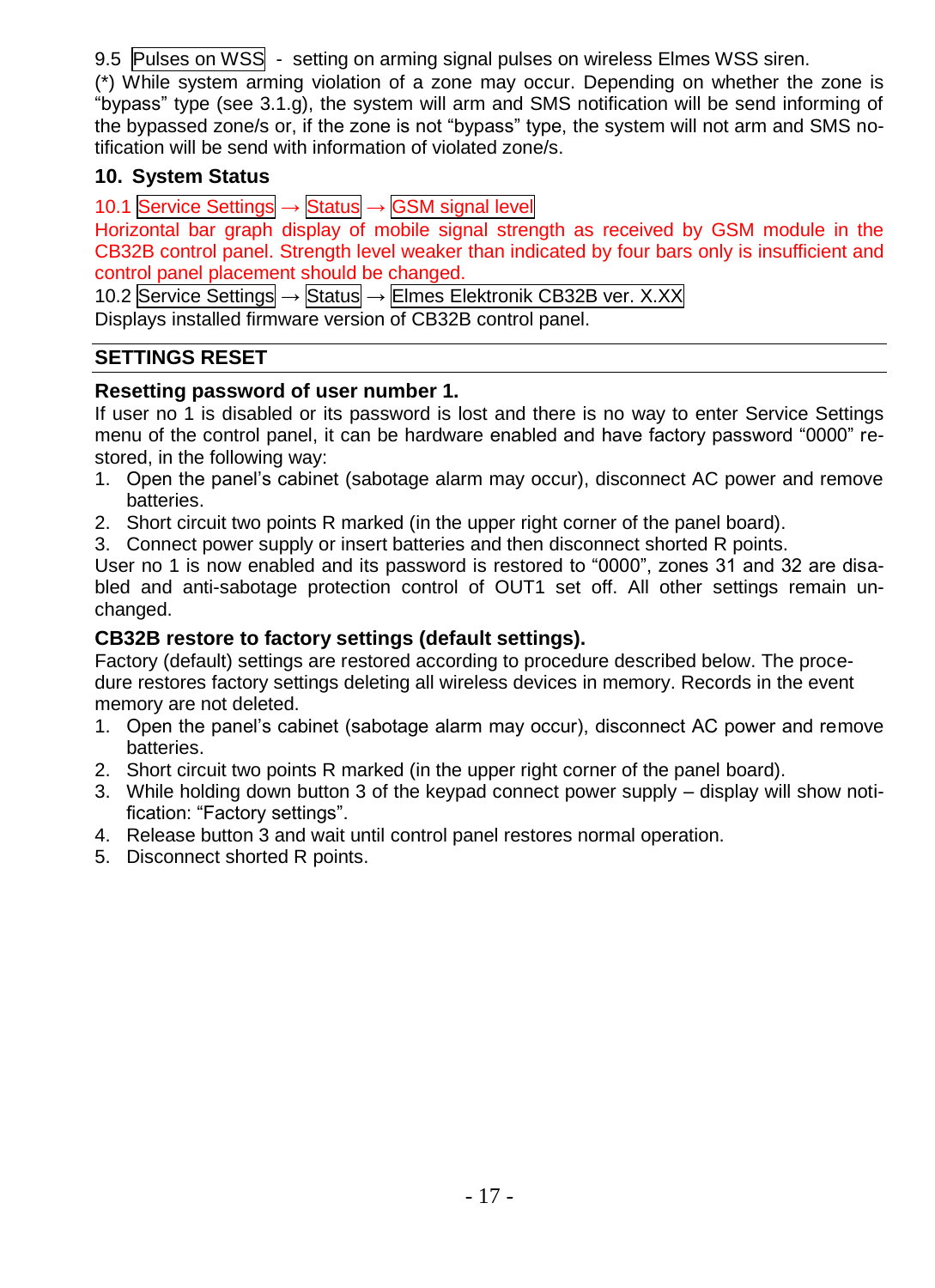9.5 Pulses on WSS - setting on arming signal pulses on wireless Elmes WSS siren.

(\*) While system arming violation of a zone may occur. Depending on whether the zone is "bypass" type (see 3.1.g), the system will arm and SMS notification will be send informing of the bypassed zone/s or, if the zone is not "bypass" type, the system will not arm and SMS notification will be send with information of violated zone/s.

# <span id="page-16-0"></span>**10. System Status**

10.1 Service Settings → Status → GSM signal level Horizontal bar graph display of mobile signal strength as received by GSM module in the CB32B control panel. Strength level weaker than indicated by four bars only is insufficient and control panel placement should be changed. 10.2 Service Settings → Status → Elmes Elektronik CB32B ver. X.XX

Displays installed firmware version of CB32B control panel.

# <span id="page-16-1"></span>**SETTINGS RESET**

# <span id="page-16-2"></span>**Resetting password of user number 1.**

If user no 1 is disabled or its password is lost and there is no way to enter Service Settings menu of the control panel, it can be hardware enabled and have factory password "0000" restored, in the following way:

- 1. Open the panel's cabinet (sabotage alarm may occur), disconnect AC power and remove batteries.
- 2. Short circuit two points R marked (in the upper right corner of the panel board).
- 3. Connect power supply or insert batteries and then disconnect shorted R points.

User no 1 is now enabled and its password is restored to "0000", zones 31 and 32 are disabled and anti-sabotage protection control of OUT1 set off. All other settings remain unchanged.

# <span id="page-16-3"></span>**CB32B restore to factory settings (default settings).**

Factory (default) settings are restored according to procedure described below. The procedure restores factory settings deleting all wireless devices in memory. Records in the event memory are not deleted.

- 1. Open the panel's cabinet (sabotage alarm may occur), disconnect AC power and remove batteries.
- 2. Short circuit two points R marked (in the upper right corner of the panel board).
- 3. While holding down button 3 of the keypad connect power supply display will show notification: "Factory settings".
- 4. Release button 3 and wait until control panel restores normal operation.
- 5. Disconnect shorted R points.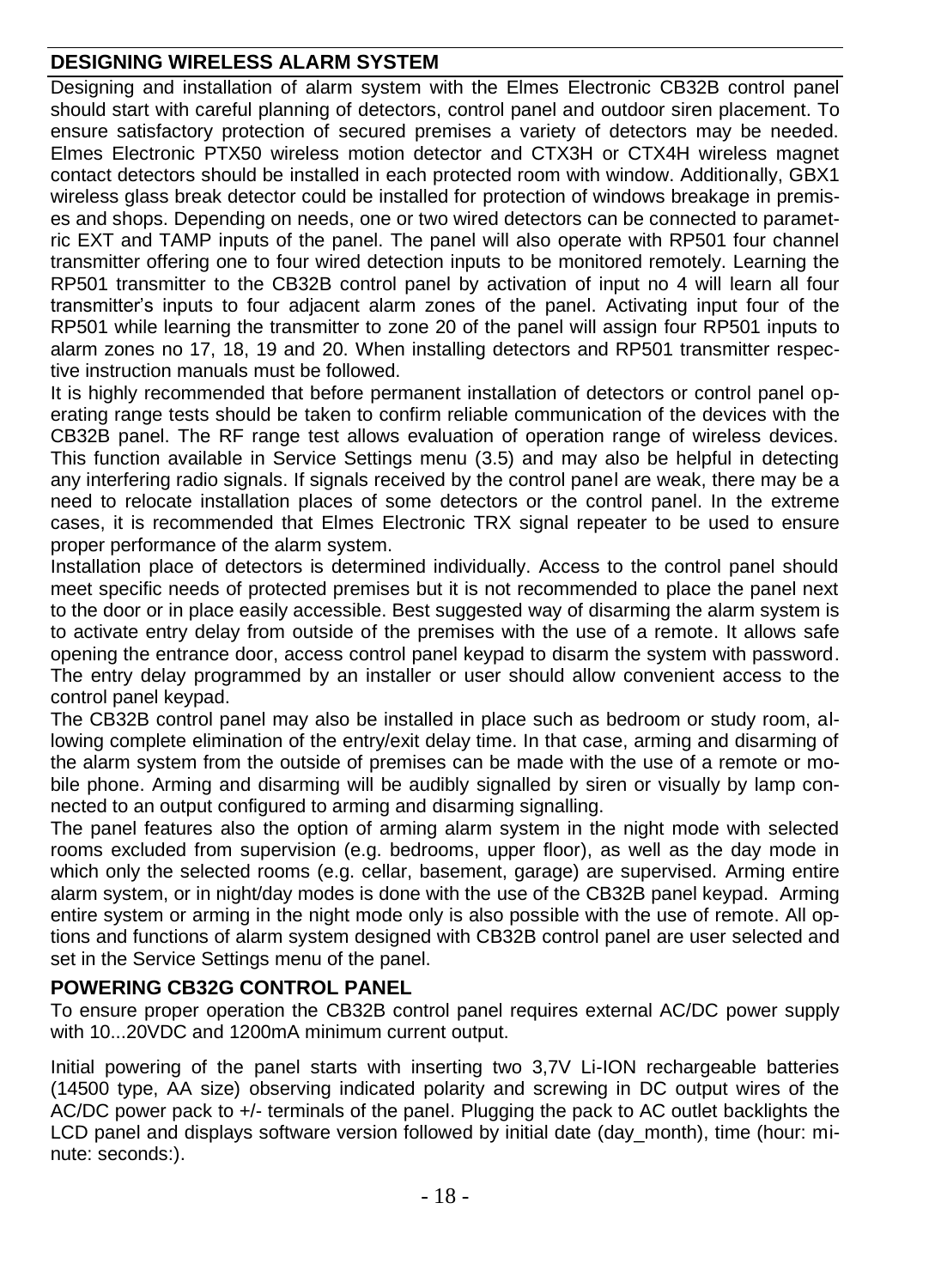# <span id="page-17-0"></span>**DESIGNING WIRELESS ALARM SYSTEM**

Designing and installation of alarm system with the Elmes Electronic CB32B control panel should start with careful planning of detectors, control panel and outdoor siren placement. To ensure satisfactory protection of secured premises a variety of detectors may be needed. Elmes Electronic PTX50 wireless motion detector and CTX3H or CTX4H wireless magnet contact detectors should be installed in each protected room with window. Additionally, GBX1 wireless glass break detector could be installed for protection of windows breakage in premises and shops. Depending on needs, one or two wired detectors can be connected to parametric EXT and TAMP inputs of the panel. The panel will also operate with RP501 four channel transmitter offering one to four wired detection inputs to be monitored remotely. Learning the RP501 transmitter to the CB32B control panel by activation of input no 4 will learn all four transmitter's inputs to four adjacent alarm zones of the panel. Activating input four of the RP501 while learning the transmitter to zone 20 of the panel will assign four RP501 inputs to alarm zones no 17, 18, 19 and 20. When installing detectors and RP501 transmitter respective instruction manuals must be followed.

It is highly recommended that before permanent installation of detectors or control panel operating range tests should be taken to confirm reliable communication of the devices with the CB32B panel. The RF range test allows evaluation of operation range of wireless devices. This function available in Service Settings menu (3.5) and may also be helpful in detecting any interfering radio signals. If signals received by the control panel are weak, there may be a need to relocate installation places of some detectors or the control panel. In the extreme cases, it is recommended that Elmes Electronic TRX signal repeater to be used to ensure proper performance of the alarm system.

Installation place of detectors is determined individually. Access to the control panel should meet specific needs of protected premises but it is not recommended to place the panel next to the door or in place easily accessible. Best suggested way of disarming the alarm system is to activate entry delay from outside of the premises with the use of a remote. It allows safe opening the entrance door, access control panel keypad to disarm the system with password. The entry delay programmed by an installer or user should allow convenient access to the control panel keypad.

The CB32B control panel may also be installed in place such as bedroom or study room, allowing complete elimination of the entry/exit delay time. In that case, arming and disarming of the alarm system from the outside of premises can be made with the use of a remote or mobile phone. Arming and disarming will be audibly signalled by siren or visually by lamp connected to an output configured to arming and disarming signalling.

The panel features also the option of arming alarm system in the night mode with selected rooms excluded from supervision (e.g. bedrooms, upper floor), as well as the day mode in which only the selected rooms (e.g. cellar, basement, garage) are supervised. Arming entire alarm system, or in night/day modes is done with the use of the CB32B panel keypad. Arming entire system or arming in the night mode only is also possible with the use of remote. All options and functions of alarm system designed with CB32B control panel are user selected and set in the Service Settings menu of the panel.

#### <span id="page-17-1"></span>**POWERING CB32G CONTROL PANEL**

To ensure proper operation the CB32B control panel requires external AC/DC power supply with 10...20VDC and 1200mA minimum current output.

Initial powering of the panel starts with inserting two 3,7V Li-ION rechargeable batteries (14500 type, AA size) observing indicated polarity and screwing in DC output wires of the AC/DC power pack to +/- terminals of the panel. Plugging the pack to AC outlet backlights the LCD panel and displays software version followed by initial date (day\_month), time (hour: minute: seconds:).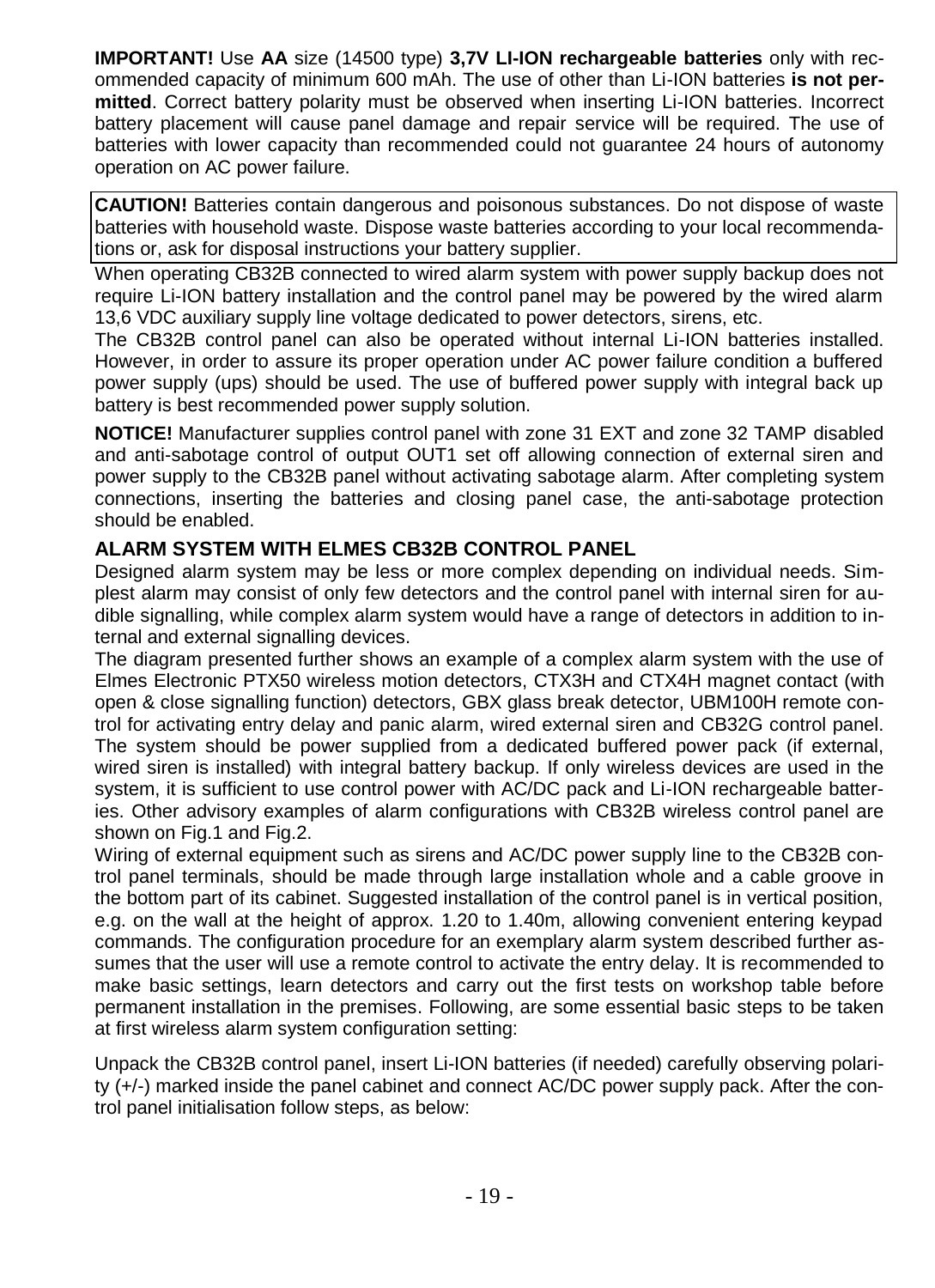**IMPORTANT!** Use **AA** size (14500 type) **3,7V LI-ION rechargeable batteries** only with recommended capacity of minimum 600 mAh. The use of other than Li-ION batteries **is not permitted**. Correct battery polarity must be observed when inserting Li-ION batteries. Incorrect battery placement will cause panel damage and repair service will be required. The use of batteries with lower capacity than recommended could not guarantee 24 hours of autonomy operation on AC power failure.

**CAUTION!** Batteries contain dangerous and poisonous substances. Do not dispose of waste batteries with household waste. Dispose waste batteries according to your local recommendations or, ask for disposal instructions your battery supplier.

When operating CB32B connected to wired alarm system with power supply backup does not require Li-ION battery installation and the control panel may be powered by the wired alarm 13,6 VDC auxiliary supply line voltage dedicated to power detectors, sirens, etc.

The CB32B control panel can also be operated without internal Li-ION batteries installed. However, in order to assure its proper operation under AC power failure condition a buffered power supply (ups) should be used. The use of buffered power supply with integral back up battery is best recommended power supply solution.

**NOTICE!** Manufacturer supplies control panel with zone 31 EXT and zone 32 TAMP disabled and anti-sabotage control of output OUT1 set off allowing connection of external siren and power supply to the CB32B panel without activating sabotage alarm. After completing system connections, inserting the batteries and closing panel case, the anti-sabotage protection should be enabled.

# <span id="page-18-0"></span>**ALARM SYSTEM WITH ELMES CB32B CONTROL PANEL**

Designed alarm system may be less or more complex depending on individual needs. Simplest alarm may consist of only few detectors and the control panel with internal siren for audible signalling, while complex alarm system would have a range of detectors in addition to internal and external signalling devices.

The diagram presented further shows an example of a complex alarm system with the use of Elmes Electronic PTX50 wireless motion detectors, CTX3H and CTX4H magnet contact (with open & close signalling function) detectors, GBX glass break detector, UBM100H remote control for activating entry delay and panic alarm, wired external siren and CB32G control panel. The system should be power supplied from a dedicated buffered power pack (if external, wired siren is installed) with integral battery backup. If only wireless devices are used in the system, it is sufficient to use control power with AC/DC pack and Li-ION rechargeable batteries. Other advisory examples of alarm configurations with CB32B wireless control panel are shown on Fig.1 and Fig.2.

Wiring of external equipment such as sirens and AC/DC power supply line to the CB32B control panel terminals, should be made through large installation whole and a cable groove in the bottom part of its cabinet. Suggested installation of the control panel is in vertical position, e.g. on the wall at the height of approx. 1.20 to 1.40m, allowing convenient entering keypad commands. The configuration procedure for an exemplary alarm system described further assumes that the user will use a remote control to activate the entry delay. It is recommended to make basic settings, learn detectors and carry out the first tests on workshop table before permanent installation in the premises. Following, are some essential basic steps to be taken at first wireless alarm system configuration setting:

Unpack the CB32B control panel, insert Li-ION batteries (if needed) carefully observing polarity (+/-) marked inside the panel cabinet and connect AC/DC power supply pack. After the control panel initialisation follow steps, as below: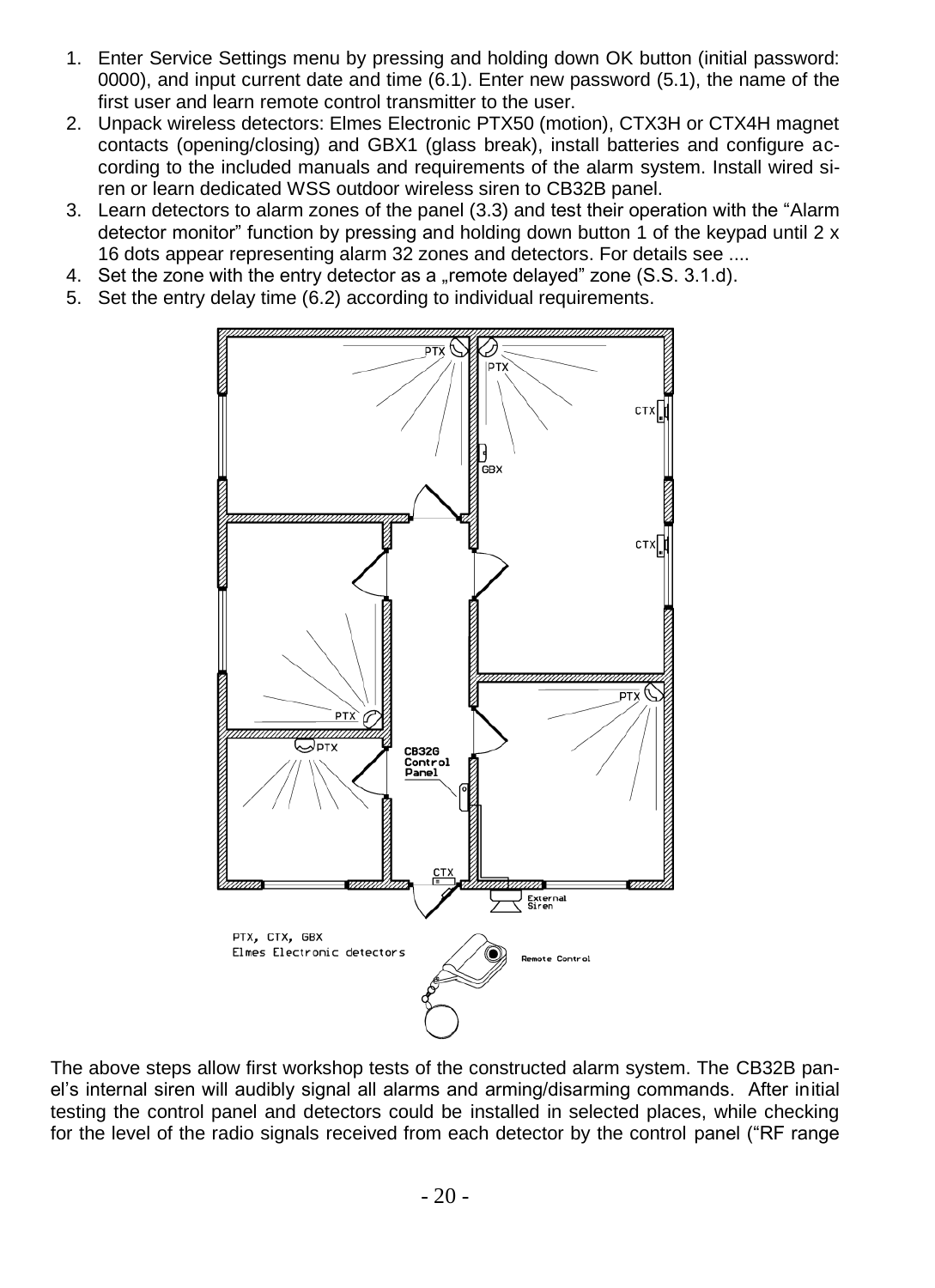- 1. Enter Service Settings menu by pressing and holding down OK button (initial password: 0000), and input current date and time (6.1). Enter new password (5.1), the name of the first user and learn remote control transmitter to the user.
- 2. Unpack wireless detectors: Elmes Electronic PTX50 (motion), CTX3H or CTX4H magnet contacts (opening/closing) and GBX1 (glass break), install batteries and configure according to the included manuals and requirements of the alarm system. Install wired siren or learn dedicated WSS outdoor wireless siren to CB32B panel.
- 3. Learn detectors to alarm zones of the panel (3.3) and test their operation with the "Alarm detector monitor" function by pressing and holding down button 1 of the keypad until 2 x 16 dots appear representing alarm 32 zones and detectors. For details see ....
- 4. Set the zone with the entry detector as a "remote delayed" zone (S.S. 3.1.d).
- 5. Set the entry delay time (6.2) according to individual requirements.



The above steps allow first workshop tests of the constructed alarm system. The CB32B panel's internal siren will audibly signal all alarms and arming/disarming commands. After initial testing the control panel and detectors could be installed in selected places, while checking for the level of the radio signals received from each detector by the control panel ("RF range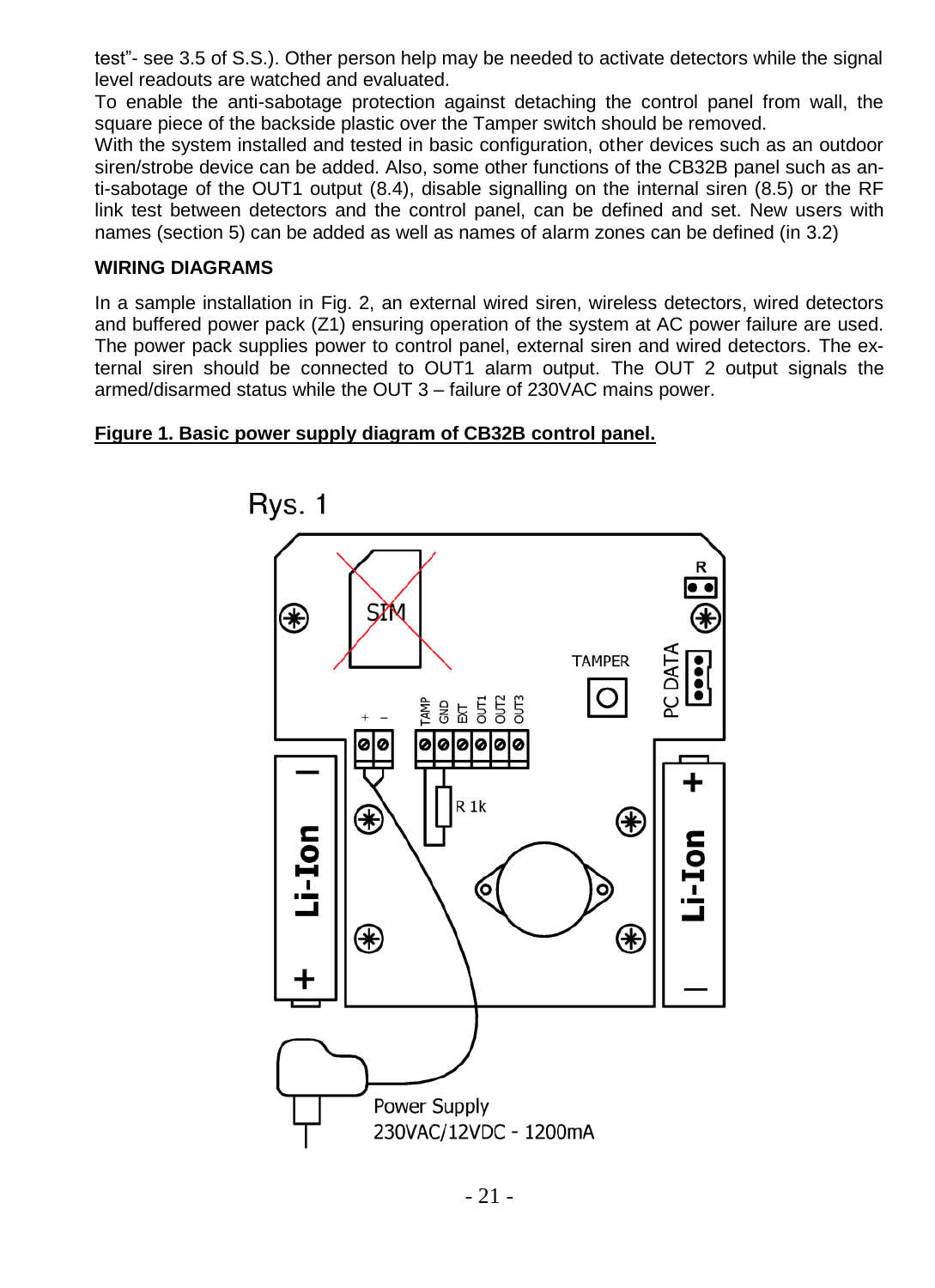test"- see 3.5 of S.S.). Other person help may be needed to activate detectors while the signal level readouts are watched and evaluated.

To enable the anti-sabotage protection against detaching the control panel from wall, the square piece of the backside plastic over the Tamper switch should be removed.

With the system installed and tested in basic configuration, other devices such as an outdoor siren/strobe device can be added. Also, some other functions of the CB32B panel such as anti-sabotage of the OUT1 output (8.4), disable signalling on the internal siren (8.5) or the RF link test between detectors and the control panel, can be defined and set. New users with names (section 5) can be added as well as names of alarm zones can be defined (in 3.2)

#### **WIRING DIAGRAMS**

In a sample installation in Fig. 2, an external wired siren, wireless detectors, wired detectors and buffered power pack (Z1) ensuring operation of the system at AC power failure are used. The power pack supplies power to control panel, external siren and wired detectors. The external siren should be connected to OUT1 alarm output. The OUT 2 output signals the armed/disarmed status while the OUT 3 – failure of 230VAC mains power.

#### **Figure 1. Basic power supply diagram of CB32B control panel.**

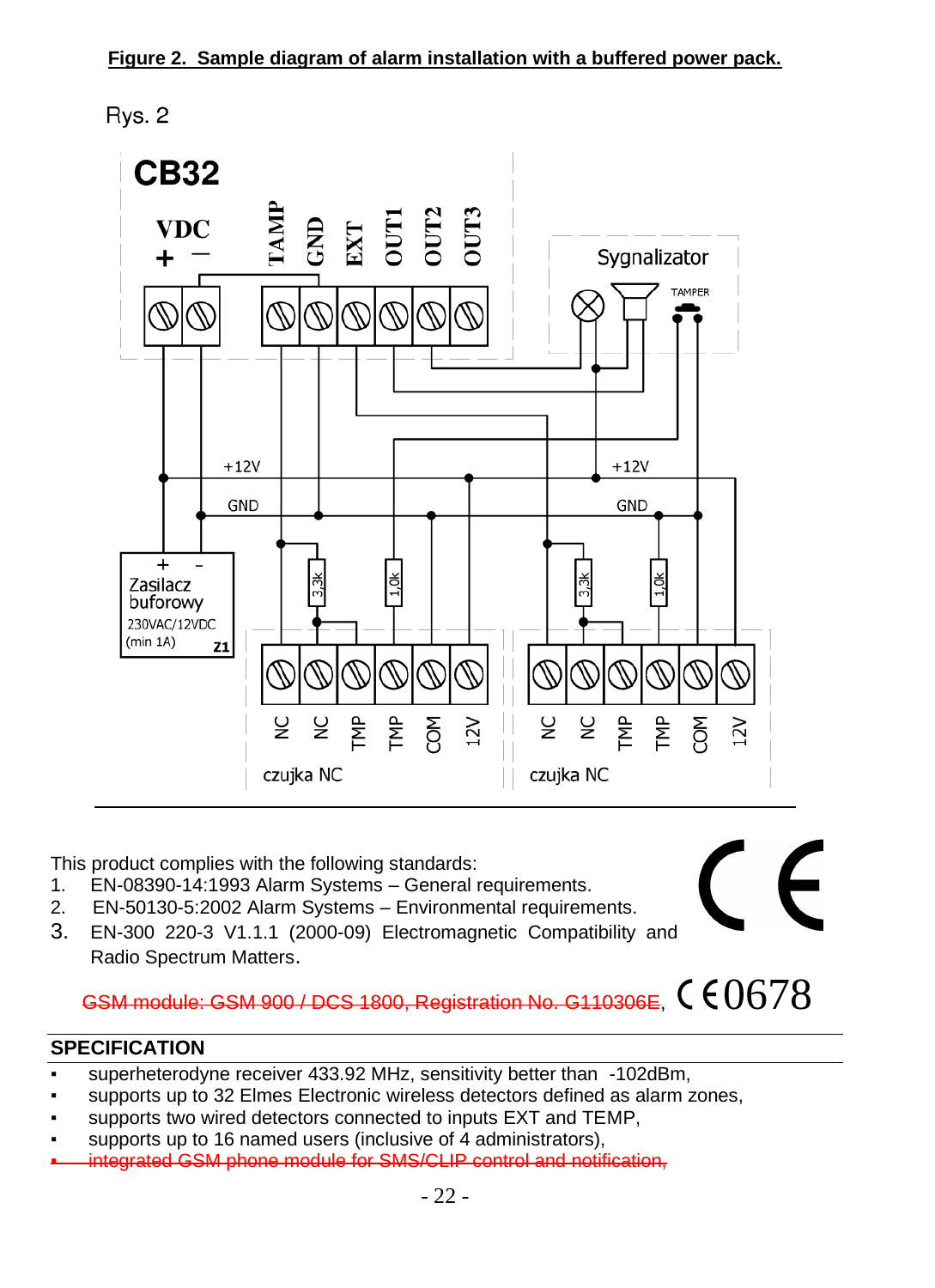Rys. 2



This product complies with the following standards:

- 1. EN-08390-14:1993 Alarm Systems General requirements.
- 2. EN-50130-5:2002 Alarm Systems Environmental requirements.
- 3. EN-300 220-3 V1.1.1 (2000-09) Electromagnetic Compatibility and Radio Spectrum Matters.

# GSM module: GSM 900 / DCS 1800, Registration No. G110306E,  $0.678$

# <span id="page-21-0"></span>**SPECIFICATION**

- superheterodyne receiver 433.92 MHz, sensitivity better than -102dBm,
- supports up to 32 Elmes Electronic wireless detectors defined as alarm zones,
- supports two wired detectors connected to inputs EXT and TEMP,
- supports up to 16 named users (inclusive of 4 administrators),
- integrated GSM phone module for SMS/CLIP control and notification,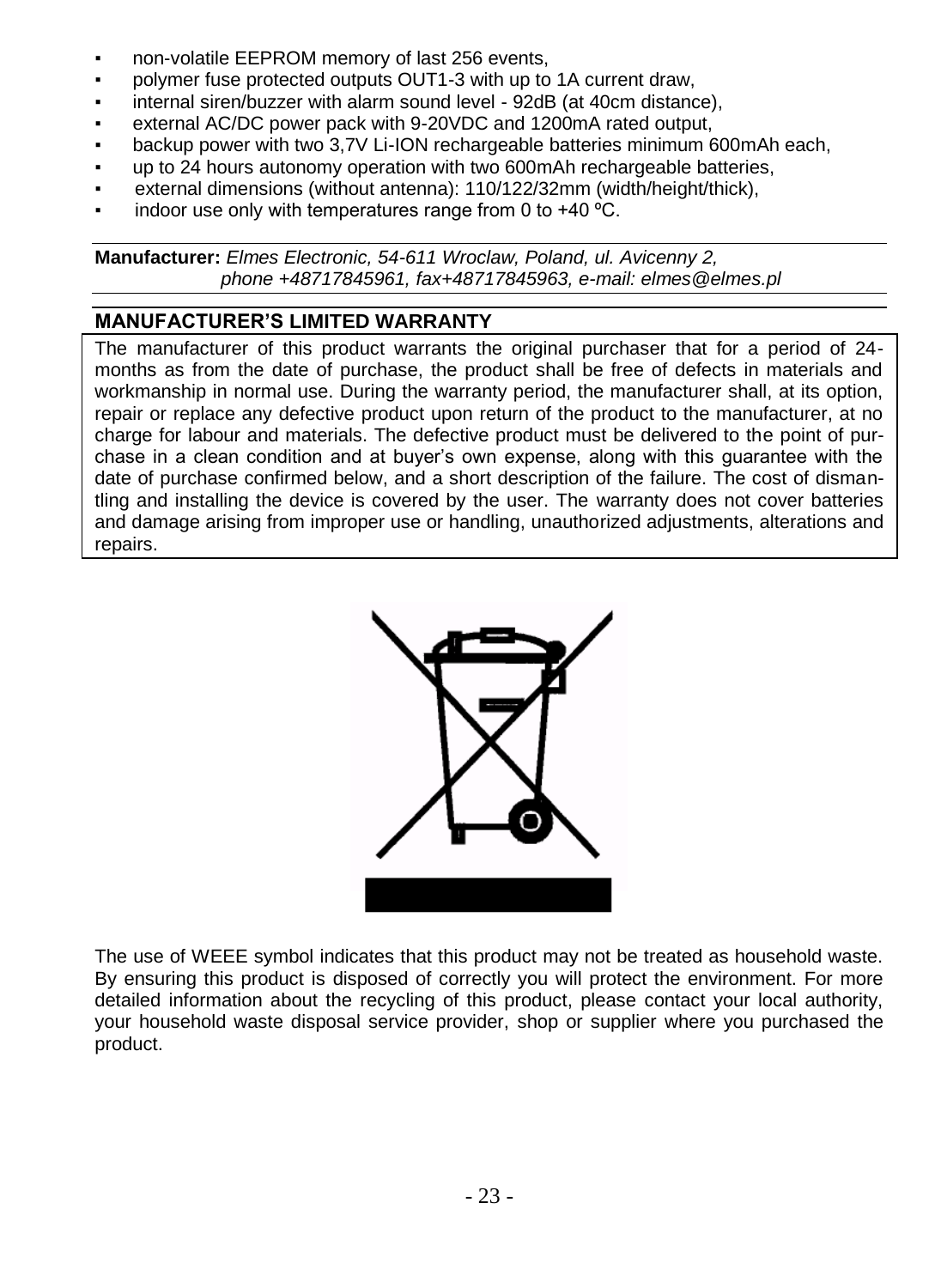- non-volatile EEPROM memory of last 256 events,
- polymer fuse protected outputs OUT1-3 with up to 1A current draw.
- internal siren/buzzer with alarm sound level 92dB (at 40cm distance),
- external AC/DC power pack with 9-20VDC and 1200mA rated output,
- backup power with two 3.7V Li-ION rechargeable batteries minimum 600mAh each.
- up to 24 hours autonomy operation with two 600mAh rechargeable batteries.
- external dimensions (without antenna): 110/122/32mm (width/height/thick),
- indoor use only with temperatures range from 0 to  $+40^{\circ}$ C.

**Manufacturer:** *Elmes Electronic, 54-611 Wroclaw, Poland, ul. Avicenny 2, phone +48717845961, fax+48717845963, e-mail: elmes@elmes.pl*

# <span id="page-22-0"></span>**MANUFACTURER'S LIMITED WARRANTY**

The manufacturer of this product warrants the original purchaser that for a period of 24 months as from the date of purchase, the product shall be free of defects in materials and workmanship in normal use. During the warranty period, the manufacturer shall, at its option, repair or replace any defective product upon return of the product to the manufacturer, at no charge for labour and materials. The defective product must be delivered to the point of purchase in a clean condition and at buyer's own expense, along with this guarantee with the date of purchase confirmed below, and a short description of the failure. The cost of dismantling and installing the device is covered by the user. The warranty does not cover batteries and damage arising from improper use or handling, unauthorized adjustments, alterations and repairs.



The use of WEEE symbol indicates that this product may not be treated as household waste. By ensuring this product is disposed of correctly you will protect the environment. For more detailed information about the recycling of this product, please contact your local authority, your household waste disposal service provider, shop or supplier where you purchased the product.